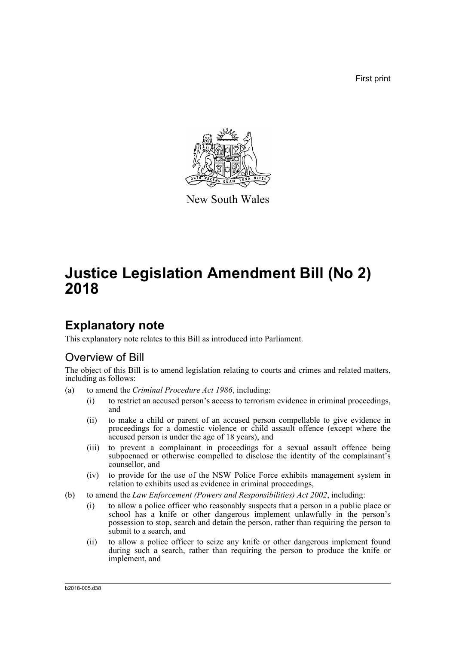First print



New South Wales

# **Justice Legislation Amendment Bill (No 2) 2018**

# **Explanatory note**

This explanatory note relates to this Bill as introduced into Parliament.

# Overview of Bill

The object of this Bill is to amend legislation relating to courts and crimes and related matters, including as follows:

- (a) to amend the *Criminal Procedure Act 1986*, including:
	- (i) to restrict an accused person's access to terrorism evidence in criminal proceedings, and
	- (ii) to make a child or parent of an accused person compellable to give evidence in proceedings for a domestic violence or child assault offence (except where the accused person is under the age of 18 years), and
	- (iii) to prevent a complainant in proceedings for a sexual assault offence being subpoenaed or otherwise compelled to disclose the identity of the complainant's counsellor, and
	- (iv) to provide for the use of the NSW Police Force exhibits management system in relation to exhibits used as evidence in criminal proceedings,
- (b) to amend the *Law Enforcement (Powers and Responsibilities) Act 2002*, including:
	- (i) to allow a police officer who reasonably suspects that a person in a public place or school has a knife or other dangerous implement unlawfully in the person's possession to stop, search and detain the person, rather than requiring the person to submit to a search, and
	- (ii) to allow a police officer to seize any knife or other dangerous implement found during such a search, rather than requiring the person to produce the knife or implement, and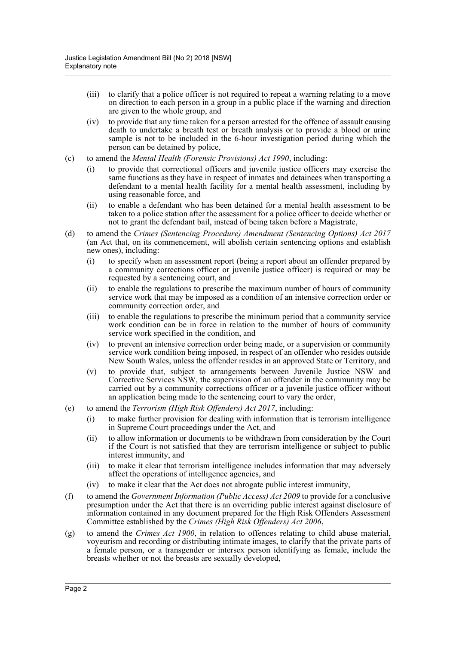- (iii) to clarify that a police officer is not required to repeat a warning relating to a move on direction to each person in a group in a public place if the warning and direction are given to the whole group, and
- (iv) to provide that any time taken for a person arrested for the offence of assault causing death to undertake a breath test or breath analysis or to provide a blood or urine sample is not to be included in the 6-hour investigation period during which the person can be detained by police,
- (c) to amend the *Mental Health (Forensic Provisions) Act 1990*, including:
	- (i) to provide that correctional officers and juvenile justice officers may exercise the same functions as they have in respect of inmates and detainees when transporting a defendant to a mental health facility for a mental health assessment, including by using reasonable force, and
	- (ii) to enable a defendant who has been detained for a mental health assessment to be taken to a police station after the assessment for a police officer to decide whether or not to grant the defendant bail, instead of being taken before a Magistrate,
- (d) to amend the *Crimes (Sentencing Procedure) Amendment (Sentencing Options) Act 2017* (an Act that, on its commencement, will abolish certain sentencing options and establish new ones), including:
	- (i) to specify when an assessment report (being a report about an offender prepared by a community corrections officer or juvenile justice officer) is required or may be requested by a sentencing court, and
	- (ii) to enable the regulations to prescribe the maximum number of hours of community service work that may be imposed as a condition of an intensive correction order or community correction order, and
	- (iii) to enable the regulations to prescribe the minimum period that a community service work condition can be in force in relation to the number of hours of community service work specified in the condition, and
	- (iv) to prevent an intensive correction order being made, or a supervision or community service work condition being imposed, in respect of an offender who resides outside New South Wales, unless the offender resides in an approved State or Territory, and
	- (v) to provide that, subject to arrangements between Juvenile Justice NSW and Corrective Services NSW, the supervision of an offender in the community may be carried out by a community corrections officer or a juvenile justice officer without an application being made to the sentencing court to vary the order,
- (e) to amend the *Terrorism (High Risk Offenders) Act 2017*, including:
	- (i) to make further provision for dealing with information that is terrorism intelligence in Supreme Court proceedings under the Act, and
	- (ii) to allow information or documents to be withdrawn from consideration by the Court if the Court is not satisfied that they are terrorism intelligence or subject to public interest immunity, and
	- (iii) to make it clear that terrorism intelligence includes information that may adversely affect the operations of intelligence agencies, and
	- (iv) to make it clear that the Act does not abrogate public interest immunity,
- (f) to amend the *Government Information (Public Access) Act 2009* to provide for a conclusive presumption under the Act that there is an overriding public interest against disclosure of information contained in any document prepared for the High Risk Offenders Assessment Committee established by the *Crimes (High Risk Offenders) Act 2006*,
- (g) to amend the *Crimes Act 1900*, in relation to offences relating to child abuse material, voyeurism and recording or distributing intimate images, to clarify that the private parts of a female person, or a transgender or intersex person identifying as female, include the breasts whether or not the breasts are sexually developed,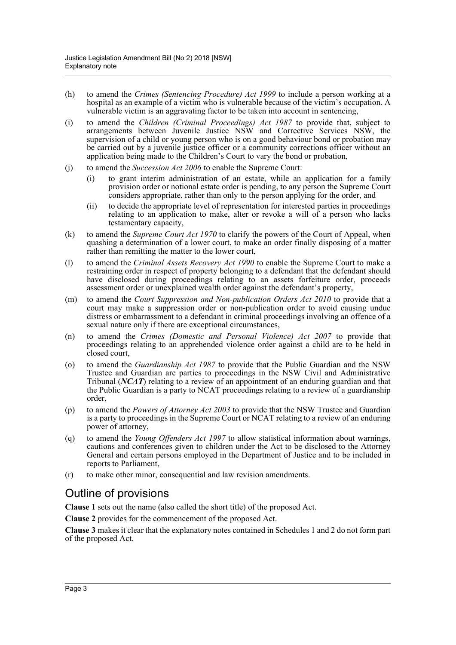- (h) to amend the *Crimes (Sentencing Procedure) Act 1999* to include a person working at a hospital as an example of a victim who is vulnerable because of the victim's occupation. A vulnerable victim is an aggravating factor to be taken into account in sentencing,
- (i) to amend the *Children (Criminal Proceedings) Act 1987* to provide that, subject to arrangements between Juvenile Justice NSW and Corrective Services NSW, the supervision of a child or young person who is on a good behaviour bond or probation may be carried out by a juvenile justice officer or a community corrections officer without an application being made to the Children's Court to vary the bond or probation,
- (j) to amend the *Succession Act 2006* to enable the Supreme Court:
	- (i) to grant interim administration of an estate, while an application for a family provision order or notional estate order is pending, to any person the Supreme Court considers appropriate, rather than only to the person applying for the order, and
	- (ii) to decide the appropriate level of representation for interested parties in proceedings relating to an application to make, alter or revoke a will of a person who lacks testamentary capacity,
- (k) to amend the *Supreme Court Act 1970* to clarify the powers of the Court of Appeal, when quashing a determination of a lower court, to make an order finally disposing of a matter rather than remitting the matter to the lower court,
- (l) to amend the *Criminal Assets Recovery Act 1990* to enable the Supreme Court to make a restraining order in respect of property belonging to a defendant that the defendant should have disclosed during proceedings relating to an assets forfeiture order, proceeds assessment order or unexplained wealth order against the defendant's property,
- (m) to amend the *Court Suppression and Non-publication Orders Act 2010* to provide that a court may make a suppression order or non-publication order to avoid causing undue distress or embarrassment to a defendant in criminal proceedings involving an offence of a sexual nature only if there are exceptional circumstances,
- (n) to amend the *Crimes (Domestic and Personal Violence) Act 2007* to provide that proceedings relating to an apprehended violence order against a child are to be held in closed court,
- (o) to amend the *Guardianship Act 1987* to provide that the Public Guardian and the NSW Trustee and Guardian are parties to proceedings in the NSW Civil and Administrative Tribunal (*NCAT*) relating to a review of an appointment of an enduring guardian and that the Public Guardian is a party to NCAT proceedings relating to a review of a guardianship order,
- (p) to amend the *Powers of Attorney Act 2003* to provide that the NSW Trustee and Guardian is a party to proceedings in the Supreme Court or NCAT relating to a review of an enduring power of attorney,
- (q) to amend the *Young Offenders Act 1997* to allow statistical information about warnings, cautions and conferences given to children under the Act to be disclosed to the Attorney General and certain persons employed in the Department of Justice and to be included in reports to Parliament,
- (r) to make other minor, consequential and law revision amendments.

# Outline of provisions

**Clause 1** sets out the name (also called the short title) of the proposed Act.

**Clause 2** provides for the commencement of the proposed Act.

**Clause 3** makes it clear that the explanatory notes contained in Schedules 1 and 2 do not form part of the proposed Act.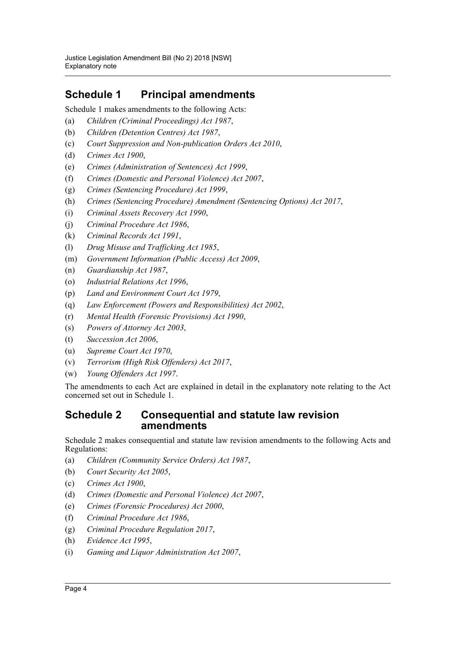# **Schedule 1 Principal amendments**

Schedule 1 makes amendments to the following Acts:

- (a) *Children (Criminal Proceedings) Act 1987*,
- (b) *Children (Detention Centres) Act 1987*,
- (c) *Court Suppression and Non-publication Orders Act 2010*,
- (d) *Crimes Act 1900*,
- (e) *Crimes (Administration of Sentences) Act 1999*,
- (f) *Crimes (Domestic and Personal Violence) Act 2007*,
- (g) *Crimes (Sentencing Procedure) Act 1999*,
- (h) *Crimes (Sentencing Procedure) Amendment (Sentencing Options) Act 2017*,
- (i) *Criminal Assets Recovery Act 1990*,
- (j) *Criminal Procedure Act 1986*,
- (k) *Criminal Records Act 1991*,
- (l) *Drug Misuse and Trafficking Act 1985*,
- (m) *Government Information (Public Access) Act 2009*,
- (n) *Guardianship Act 1987*,
- (o) *Industrial Relations Act 1996*,
- (p) *Land and Environment Court Act 1979*,
- (q) *Law Enforcement (Powers and Responsibilities) Act 2002*,
- (r) *Mental Health (Forensic Provisions) Act 1990*,
- (s) *Powers of Attorney Act 2003*,
- (t) *Succession Act 2006*,
- (u) *Supreme Court Act 1970*,
- (v) *Terrorism (High Risk Offenders) Act 2017*,
- (w) *Young Offenders Act 1997*.

The amendments to each Act are explained in detail in the explanatory note relating to the Act concerned set out in Schedule 1.

# **Schedule 2 Consequential and statute law revision amendments**

Schedule 2 makes consequential and statute law revision amendments to the following Acts and Regulations:

- (a) *Children (Community Service Orders) Act 1987*,
- (b) *Court Security Act 2005*,
- (c) *Crimes Act 1900*,
- (d) *Crimes (Domestic and Personal Violence) Act 2007*,
- (e) *Crimes (Forensic Procedures) Act 2000*,
- (f) *Criminal Procedure Act 1986*,
- (g) *Criminal Procedure Regulation 2017*,
- (h) *Evidence Act 1995*,
- (i) *Gaming and Liquor Administration Act 2007*,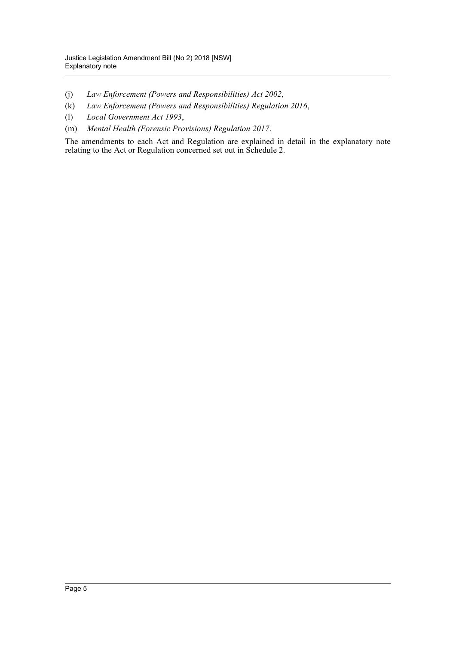- (j) *Law Enforcement (Powers and Responsibilities) Act 2002*,
- (k) *Law Enforcement (Powers and Responsibilities) Regulation 2016*,
- (l) *Local Government Act 1993*,
- (m) *Mental Health (Forensic Provisions) Regulation 2017*.

The amendments to each Act and Regulation are explained in detail in the explanatory note relating to the Act or Regulation concerned set out in Schedule 2.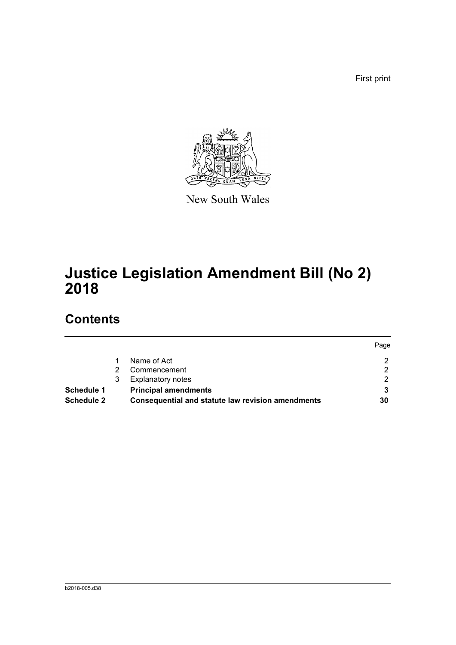First print



New South Wales

# **Justice Legislation Amendment Bill (No 2) 2018**

# **Contents**

|                   |   |                                                   | Page |
|-------------------|---|---------------------------------------------------|------|
|                   |   | Name of Act                                       | 2    |
|                   |   | Commencement                                      | ◠    |
|                   | 3 | <b>Explanatory notes</b>                          | ົ    |
| Schedule 1        |   | <b>Principal amendments</b>                       |      |
| <b>Schedule 2</b> |   | Consequential and statute law revision amendments | 30   |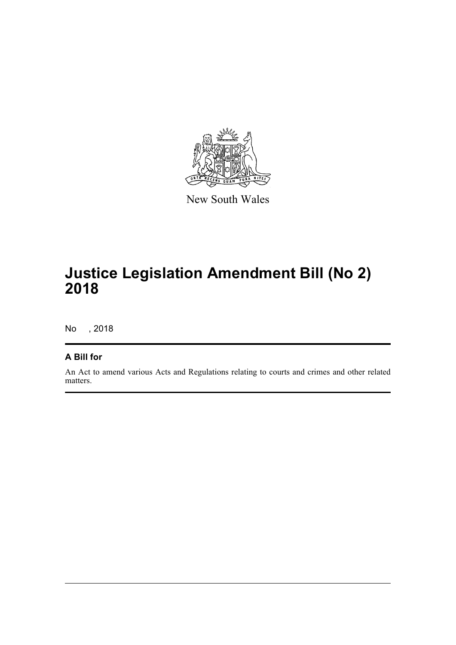

New South Wales

# **Justice Legislation Amendment Bill (No 2) 2018**

No , 2018

# **A Bill for**

An Act to amend various Acts and Regulations relating to courts and crimes and other related matters.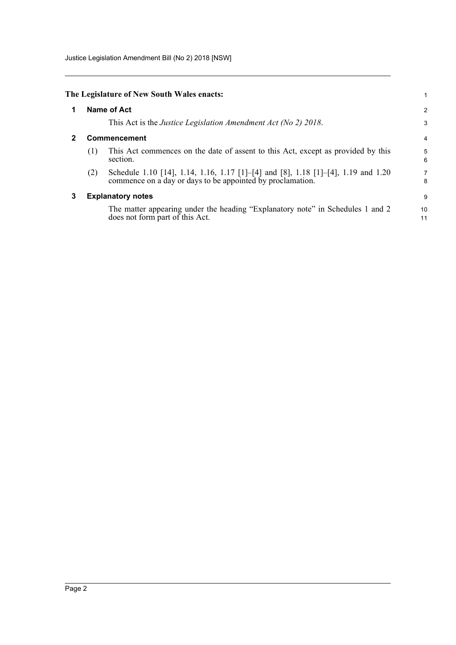Justice Legislation Amendment Bill (No 2) 2018 [NSW]

<span id="page-7-2"></span><span id="page-7-1"></span><span id="page-7-0"></span>

|   |     | The Legislature of New South Wales enacts:                                                                                                      |                |
|---|-----|-------------------------------------------------------------------------------------------------------------------------------------------------|----------------|
| 1 |     | <b>Name of Act</b>                                                                                                                              | $\overline{2}$ |
|   |     | This Act is the Justice Legislation Amendment Act (No 2) 2018.                                                                                  | 3              |
|   |     | <b>Commencement</b>                                                                                                                             | 4              |
|   | (1) | This Act commences on the date of assent to this Act, except as provided by this<br>section.                                                    | 5<br>6         |
|   | (2) | Schedule 1.10 [14], 1.14, 1.16, 1.17 [1]–[4] and [8], 1.18 [1]–[4], 1.19 and 1.20<br>commence on a day or days to be appointed by proclamation. | 7<br>8         |
| 3 |     | <b>Explanatory notes</b>                                                                                                                        | 9              |
|   |     | The matter appearing under the heading "Explanatory note" in Schedules 1 and 2<br>does not form part of this Act.                               | 10<br>11       |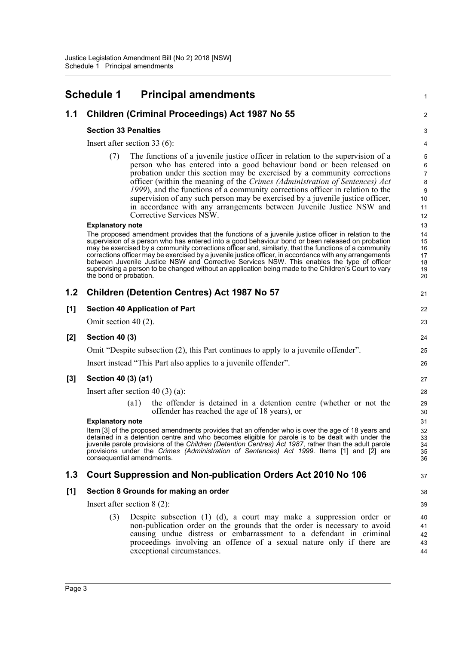<span id="page-8-0"></span>

|       | <b>Schedule 1</b>           | <b>Principal amendments</b>                                                                                                                                                                                                                                                                                                                                                                                                                                                                                                                                                                                                       | 1                                                    |
|-------|-----------------------------|-----------------------------------------------------------------------------------------------------------------------------------------------------------------------------------------------------------------------------------------------------------------------------------------------------------------------------------------------------------------------------------------------------------------------------------------------------------------------------------------------------------------------------------------------------------------------------------------------------------------------------------|------------------------------------------------------|
| 1.1   |                             | Children (Criminal Proceedings) Act 1987 No 55                                                                                                                                                                                                                                                                                                                                                                                                                                                                                                                                                                                    | $\overline{2}$                                       |
|       | <b>Section 33 Penalties</b> |                                                                                                                                                                                                                                                                                                                                                                                                                                                                                                                                                                                                                                   | $\mathsf 3$                                          |
|       |                             | Insert after section $33(6)$ :                                                                                                                                                                                                                                                                                                                                                                                                                                                                                                                                                                                                    | 4                                                    |
|       | (7)                         | The functions of a juvenile justice officer in relation to the supervision of a<br>person who has entered into a good behaviour bond or been released on<br>probation under this section may be exercised by a community corrections<br>officer (within the meaning of the Crimes (Administration of Sentences) Act<br>1999), and the functions of a community corrections officer in relation to the<br>supervision of any such person may be exercised by a juvenile justice officer,<br>in accordance with any arrangements between Juvenile Justice NSW and<br>Corrective Services NSW.                                       | 5<br>6<br>$\overline{7}$<br>8<br>9<br>10<br>11<br>12 |
|       | <b>Explanatory note</b>     |                                                                                                                                                                                                                                                                                                                                                                                                                                                                                                                                                                                                                                   | 13                                                   |
|       | the bond or probation.      | The proposed amendment provides that the functions of a juvenile justice officer in relation to the<br>supervision of a person who has entered into a good behaviour bond or been released on probation<br>may be exercised by a community corrections officer and, similarly, that the functions of a community<br>corrections officer may be exercised by a juvenile justice officer, in accordance with any arrangements<br>between Juvenile Justice NSW and Corrective Services NSW. This enables the type of officer<br>supervising a person to be changed without an application being made to the Children's Court to vary | 14<br>15<br>16<br>17<br>18<br>19<br>20               |
| 1.2   |                             | <b>Children (Detention Centres) Act 1987 No 57</b>                                                                                                                                                                                                                                                                                                                                                                                                                                                                                                                                                                                | 21                                                   |
| [1]   |                             | <b>Section 40 Application of Part</b>                                                                                                                                                                                                                                                                                                                                                                                                                                                                                                                                                                                             | 22                                                   |
|       | Omit section $40(2)$ .      |                                                                                                                                                                                                                                                                                                                                                                                                                                                                                                                                                                                                                                   | 23                                                   |
| $[2]$ | <b>Section 40 (3)</b>       |                                                                                                                                                                                                                                                                                                                                                                                                                                                                                                                                                                                                                                   | 24                                                   |
|       |                             | Omit "Despite subsection (2), this Part continues to apply to a juvenile offender".                                                                                                                                                                                                                                                                                                                                                                                                                                                                                                                                               | 25                                                   |
|       |                             | Insert instead "This Part also applies to a juvenile offender".                                                                                                                                                                                                                                                                                                                                                                                                                                                                                                                                                                   | 26                                                   |
| $[3]$ | Section 40 (3) (a1)         |                                                                                                                                                                                                                                                                                                                                                                                                                                                                                                                                                                                                                                   | 27                                                   |
|       |                             | Insert after section 40 $(3)$ (a):                                                                                                                                                                                                                                                                                                                                                                                                                                                                                                                                                                                                | 28                                                   |
|       | <b>Explanatory note</b>     | the offender is detained in a detention centre (whether or not the<br>$\left( a1\right)$<br>offender has reached the age of 18 years), or                                                                                                                                                                                                                                                                                                                                                                                                                                                                                         | 29<br>30<br>31                                       |
|       |                             | Item [3] of the proposed amendments provides that an offender who is over the age of 18 years and<br>detained in a detention centre and who becomes eligible for parole is to be dealt with under the<br>juvenile parole provisions of the Children (Detention Centres) Act 1987, rather than the adult parole<br>provisions under the Crimes (Administration of Sentences) Act 1999. Items [1] and [2] are<br>consequential amendments.                                                                                                                                                                                          | 32<br>33<br>34<br>35<br>36                           |
| 1.3   |                             | Court Suppression and Non-publication Orders Act 2010 No 106                                                                                                                                                                                                                                                                                                                                                                                                                                                                                                                                                                      | 37                                                   |
| [1]   |                             | Section 8 Grounds for making an order                                                                                                                                                                                                                                                                                                                                                                                                                                                                                                                                                                                             | 38                                                   |
|       |                             | Insert after section $8(2)$ :                                                                                                                                                                                                                                                                                                                                                                                                                                                                                                                                                                                                     | 39                                                   |
|       | (3)                         | Despite subsection $(1)$ $(d)$ , a court may make a suppression order or<br>non-publication order on the grounds that the order is necessary to avoid<br>causing undue distress or embarrassment to a defendant in criminal<br>proceedings involving an offence of a sexual nature only if there are<br>exceptional circumstances.                                                                                                                                                                                                                                                                                                | 40<br>41<br>42<br>43<br>44                           |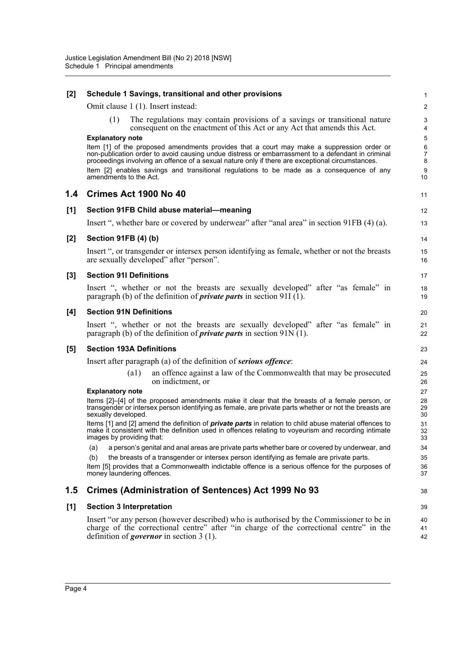| $[2]$ | Schedule 1 Savings, transitional and other provisions                                                                                                                                                                                                                                                                                                                                          | 1                               |
|-------|------------------------------------------------------------------------------------------------------------------------------------------------------------------------------------------------------------------------------------------------------------------------------------------------------------------------------------------------------------------------------------------------|---------------------------------|
|       | Omit clause 1 (1). Insert instead:                                                                                                                                                                                                                                                                                                                                                             | $\overline{2}$                  |
|       | The regulations may contain provisions of a savings or transitional nature<br>(1)<br>consequent on the enactment of this Act or any Act that amends this Act.                                                                                                                                                                                                                                  | $\ensuremath{\mathsf{3}}$<br>4  |
|       | <b>Explanatory note</b>                                                                                                                                                                                                                                                                                                                                                                        | $\sqrt{5}$                      |
|       | Item [1] of the proposed amendments provides that a court may make a suppression order or<br>non-publication order to avoid causing undue distress or embarrassment to a defendant in criminal<br>proceedings involving an offence of a sexual nature only if there are exceptional circumstances.<br>Item [2] enables savings and transitional regulations to be made as a consequence of any | 6<br>$\boldsymbol{7}$<br>8<br>9 |
|       | amendments to the Act.                                                                                                                                                                                                                                                                                                                                                                         | 10                              |
| 1.4   | Crimes Act 1900 No 40                                                                                                                                                                                                                                                                                                                                                                          | 11                              |
| [1]   | Section 91FB Child abuse material-meaning                                                                                                                                                                                                                                                                                                                                                      | 12                              |
|       | Insert ", whether bare or covered by underwear" after "anal area" in section 91FB (4) (a).                                                                                                                                                                                                                                                                                                     | 13                              |
| $[2]$ | Section 91FB (4) (b)                                                                                                                                                                                                                                                                                                                                                                           | 14                              |
|       | Insert ", or transgender or intersex person identifying as female, whether or not the breasts<br>are sexually developed" after "person".                                                                                                                                                                                                                                                       | 15<br>16                        |
| $[3]$ | <b>Section 91I Definitions</b>                                                                                                                                                                                                                                                                                                                                                                 | 17                              |
|       | Insert ", whether or not the breasts are sexually developed" after "as female" in<br>paragraph (b) of the definition of <i>private parts</i> in section 91I (1).                                                                                                                                                                                                                               | 18<br>19                        |
| [4]   | <b>Section 91N Definitions</b>                                                                                                                                                                                                                                                                                                                                                                 | 20                              |
|       | Insert ", whether or not the breasts are sexually developed" after "as female" in<br>paragraph (b) of the definition of <i>private parts</i> in section $91N(1)$ .                                                                                                                                                                                                                             | 21<br>22                        |
| [5]   | <b>Section 193A Definitions</b>                                                                                                                                                                                                                                                                                                                                                                | 23                              |
|       | Insert after paragraph (a) of the definition of <b><i>serious offence</i></b> :                                                                                                                                                                                                                                                                                                                | 24                              |
|       | an offence against a law of the Commonwealth that may be prosecuted<br>$\left( a1\right)$<br>on indictment, or                                                                                                                                                                                                                                                                                 | 25<br>26                        |
|       | <b>Explanatory note</b>                                                                                                                                                                                                                                                                                                                                                                        | 27                              |
|       | Items [2]-[4] of the proposed amendments make it clear that the breasts of a female person, or<br>transgender or intersex person identifying as female, are private parts whether or not the breasts are<br>sexually developed.                                                                                                                                                                | 28<br>29<br>30                  |
|       | Items [1] and [2] amend the definition of <i>private parts</i> in relation to child abuse material offences to<br>make it consistent with the definition used in offences relating to voyeurism and recording intimate<br>images by providing that:                                                                                                                                            | 31<br>32<br>33                  |
|       | a person's genital and anal areas are private parts whether bare or covered by underwear, and<br>(a)                                                                                                                                                                                                                                                                                           | 34                              |
|       | the breasts of a transgender or intersex person identifying as female are private parts.<br>(b)                                                                                                                                                                                                                                                                                                | 35                              |
|       | Item [5] provides that a Commonwealth indictable offence is a serious offence for the purposes of<br>money laundering offences.                                                                                                                                                                                                                                                                | 36<br>37                        |
| 1.5   | Crimes (Administration of Sentences) Act 1999 No 93                                                                                                                                                                                                                                                                                                                                            | 38                              |
| [1]   | <b>Section 3 Interpretation</b>                                                                                                                                                                                                                                                                                                                                                                | 39                              |
|       | Insert "or any person (however described) who is authorised by the Commissioner to be in                                                                                                                                                                                                                                                                                                       | 40                              |
|       | charge of the correctional centre" after "in charge of the correctional centre" in the<br>definition of <i>governor</i> in section $3(1)$ .                                                                                                                                                                                                                                                    | 41<br>42                        |
|       |                                                                                                                                                                                                                                                                                                                                                                                                |                                 |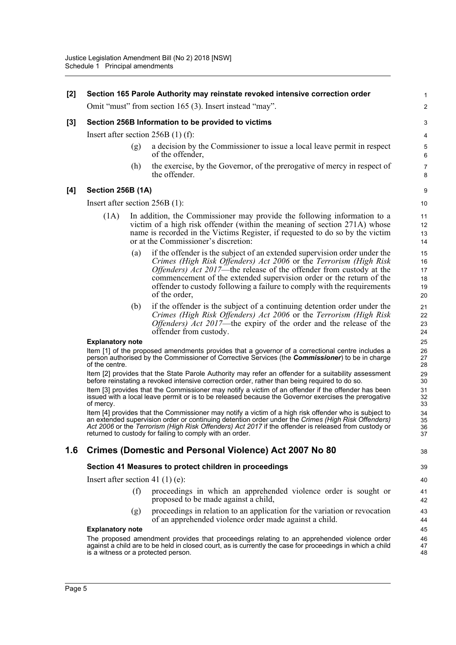| [2]   |                                  |     | Section 165 Parole Authority may reinstate revoked intensive correction order                                                                                                                                                                                                                                                                                                                    | 1                                |
|-------|----------------------------------|-----|--------------------------------------------------------------------------------------------------------------------------------------------------------------------------------------------------------------------------------------------------------------------------------------------------------------------------------------------------------------------------------------------------|----------------------------------|
|       |                                  |     | Omit "must" from section 165 (3). Insert instead "may".                                                                                                                                                                                                                                                                                                                                          | $\overline{c}$                   |
| $[3]$ |                                  |     | Section 256B Information to be provided to victims                                                                                                                                                                                                                                                                                                                                               | 3                                |
|       |                                  |     | Insert after section $256B(1)$ (f):                                                                                                                                                                                                                                                                                                                                                              | 4                                |
|       |                                  | (g) | a decision by the Commissioner to issue a local leave permit in respect<br>of the offender,                                                                                                                                                                                                                                                                                                      | $\mathbf 5$<br>6                 |
|       |                                  | (h) | the exercise, by the Governor, of the prerogative of mercy in respect of<br>the offender.                                                                                                                                                                                                                                                                                                        | $\overline{7}$<br>8              |
| [4]   | <b>Section 256B (1A)</b>         |     |                                                                                                                                                                                                                                                                                                                                                                                                  | 9                                |
|       | Insert after section $256B(1)$ : |     |                                                                                                                                                                                                                                                                                                                                                                                                  | 10                               |
|       | (1A)                             |     | In addition, the Commissioner may provide the following information to a<br>victim of a high risk offender (within the meaning of section 271A) whose<br>name is recorded in the Victims Register, if requested to do so by the victim<br>or at the Commissioner's discretion:                                                                                                                   | 11<br>12<br>13<br>14             |
|       |                                  | (a) | if the offender is the subject of an extended supervision order under the<br>Crimes (High Risk Offenders) Act 2006 or the Terrorism (High Risk<br><i>Offenders) Act 2017</i> —the release of the offender from custody at the<br>commencement of the extended supervision order or the return of the<br>offender to custody following a failure to comply with the requirements<br>of the order, | 15<br>16<br>17<br>18<br>19<br>20 |
|       |                                  | (b) | if the offender is the subject of a continuing detention order under the<br>Crimes (High Risk Offenders) Act 2006 or the Terrorism (High Risk<br><i>Offenders) Act 2017</i> —the expiry of the order and the release of the<br>offender from custody.                                                                                                                                            | 21<br>22<br>23<br>24             |
|       | <b>Explanatory note</b>          |     |                                                                                                                                                                                                                                                                                                                                                                                                  | 25                               |
|       | of the centre.                   |     | Item [1] of the proposed amendments provides that a governor of a correctional centre includes a<br>person authorised by the Commissioner of Corrective Services (the Commissioner) to be in charge                                                                                                                                                                                              | 26<br>27<br>28                   |
|       |                                  |     | Item [2] provides that the State Parole Authority may refer an offender for a suitability assessment<br>before reinstating a revoked intensive correction order, rather than being required to do so.                                                                                                                                                                                            | 29<br>30                         |
|       | of mercy.                        |     | Item [3] provides that the Commissioner may notify a victim of an offender if the offender has been<br>issued with a local leave permit or is to be released because the Governor exercises the prerogative                                                                                                                                                                                      | 31<br>32<br>33                   |
|       |                                  |     | Item [4] provides that the Commissioner may notify a victim of a high risk offender who is subject to<br>an extended supervision order or continuing detention order under the Crimes (High Risk Offenders)<br>Act 2006 or the Terrorism (High Risk Offenders) Act 2017 if the offender is released from custody or<br>returned to custody for failing to comply with an order.                  | 34<br>35<br>36<br>37             |
| 1.6   |                                  |     | <b>Crimes (Domestic and Personal Violence) Act 2007 No 80</b>                                                                                                                                                                                                                                                                                                                                    | 38                               |
|       |                                  |     | Section 41 Measures to protect children in proceedings                                                                                                                                                                                                                                                                                                                                           | 39                               |
|       |                                  |     | Insert after section 41 $(1)$ (e):                                                                                                                                                                                                                                                                                                                                                               | 40                               |
|       |                                  | (f) | proceedings in which an apprehended violence order is sought or<br>proposed to be made against a child,                                                                                                                                                                                                                                                                                          | 41<br>42                         |
|       |                                  | (g) | proceedings in relation to an application for the variation or revocation<br>of an apprehended violence order made against a child.                                                                                                                                                                                                                                                              | 43<br>44                         |
|       | <b>Explanatory note</b>          |     |                                                                                                                                                                                                                                                                                                                                                                                                  | 45                               |
|       |                                  |     | The proposed amendment provides that proceedings relating to an apprehended violence order<br>against a child are to be held in closed court, as is currently the case for proceedings in which a child<br>is a witness or a protected person.                                                                                                                                                   | 46<br>47<br>48                   |
|       |                                  |     |                                                                                                                                                                                                                                                                                                                                                                                                  |                                  |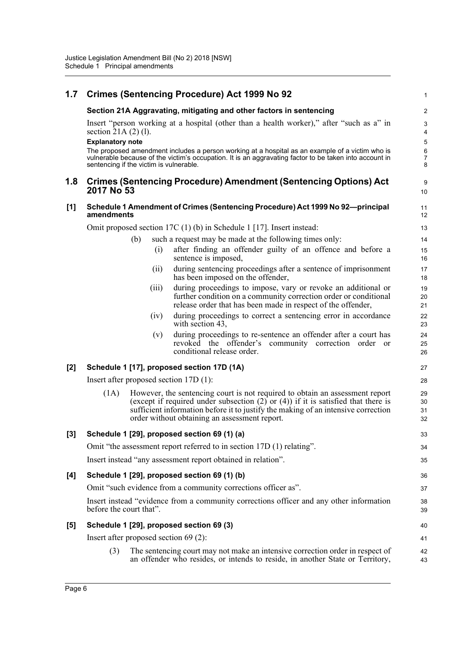| 1.7   |                                                      |                                         | <b>Crimes (Sentencing Procedure) Act 1999 No 92</b>                                                                                                                                                                                                                                                          | $\mathbf{1}$                                    |
|-------|------------------------------------------------------|-----------------------------------------|--------------------------------------------------------------------------------------------------------------------------------------------------------------------------------------------------------------------------------------------------------------------------------------------------------------|-------------------------------------------------|
|       |                                                      |                                         | Section 21A Aggravating, mitigating and other factors in sentencing                                                                                                                                                                                                                                          | $\boldsymbol{2}$                                |
|       | section 21A $(2)$ $(1)$ .<br><b>Explanatory note</b> |                                         | Insert "person working at a hospital (other than a health worker)," after "such as a" in                                                                                                                                                                                                                     | $\mathsf 3$<br>$\overline{4}$<br>$\overline{5}$ |
|       |                                                      | sentencing if the victim is vulnerable. | The proposed amendment includes a person working at a hospital as an example of a victim who is<br>vulnerable because of the victim's occupation. It is an aggravating factor to be taken into account in                                                                                                    | 6<br>$\overline{7}$<br>8                        |
| 1.8   | 2017 No 53                                           |                                         | <b>Crimes (Sentencing Procedure) Amendment (Sentencing Options) Act</b>                                                                                                                                                                                                                                      | 9<br>10                                         |
| [1]   | amendments                                           |                                         | Schedule 1 Amendment of Crimes (Sentencing Procedure) Act 1999 No 92-principal                                                                                                                                                                                                                               | 11<br>12                                        |
|       |                                                      |                                         | Omit proposed section 17C $(1)$ (b) in Schedule 1 [17]. Insert instead:                                                                                                                                                                                                                                      | 13                                              |
|       |                                                      | (b)                                     | such a request may be made at the following times only:                                                                                                                                                                                                                                                      | 14                                              |
|       |                                                      | (i)                                     | after finding an offender guilty of an offence and before a<br>sentence is imposed,                                                                                                                                                                                                                          | 15<br>16                                        |
|       |                                                      | (i)                                     | during sentencing proceedings after a sentence of imprisonment<br>has been imposed on the offender,                                                                                                                                                                                                          | 17<br>18                                        |
|       |                                                      | (iii)                                   | during proceedings to impose, vary or revoke an additional or<br>further condition on a community correction order or conditional<br>release order that has been made in respect of the offender,                                                                                                            | 19<br>20<br>21                                  |
|       |                                                      | (iv)                                    | during proceedings to correct a sentencing error in accordance<br>with section 43,                                                                                                                                                                                                                           | 22<br>23                                        |
|       |                                                      | (v)                                     | during proceedings to re-sentence an offender after a court has<br>revoked the offender's community correction order or<br>conditional release order.                                                                                                                                                        | 24<br>25<br>26                                  |
| $[2]$ |                                                      |                                         | Schedule 1 [17], proposed section 17D (1A)                                                                                                                                                                                                                                                                   | 27                                              |
|       |                                                      |                                         | Insert after proposed section $17D(1)$ :                                                                                                                                                                                                                                                                     | 28                                              |
|       | (1A)                                                 |                                         | However, the sentencing court is not required to obtain an assessment report<br>(except if required under subsection $(2)$ or $(4)$ ) if it is satisfied that there is<br>sufficient information before it to justify the making of an intensive correction<br>order without obtaining an assessment report. | 29<br>30<br>31<br>32                            |
| $[3]$ |                                                      |                                         | Schedule 1 [29], proposed section 69 (1) (a)                                                                                                                                                                                                                                                                 | 33                                              |
|       |                                                      |                                         | Omit "the assessment report referred to in section 17D (1) relating".                                                                                                                                                                                                                                        | 34                                              |
|       |                                                      |                                         | Insert instead "any assessment report obtained in relation".                                                                                                                                                                                                                                                 | 35                                              |
| [4]   |                                                      |                                         | Schedule 1 [29], proposed section 69 (1) (b)                                                                                                                                                                                                                                                                 | 36                                              |
|       |                                                      |                                         | Omit "such evidence from a community corrections officer as".                                                                                                                                                                                                                                                | 37                                              |
|       | before the court that".                              |                                         | Insert instead "evidence from a community corrections officer and any other information                                                                                                                                                                                                                      | 38<br>39                                        |
| $[5]$ |                                                      |                                         | Schedule 1 [29], proposed section 69 (3)                                                                                                                                                                                                                                                                     | 40                                              |
|       |                                                      | Insert after proposed section $69(2)$ : |                                                                                                                                                                                                                                                                                                              | 41                                              |
|       | (3)                                                  |                                         | The sentencing court may not make an intensive correction order in respect of<br>an offender who resides, or intends to reside, in another State or Territory,                                                                                                                                               | 42<br>43                                        |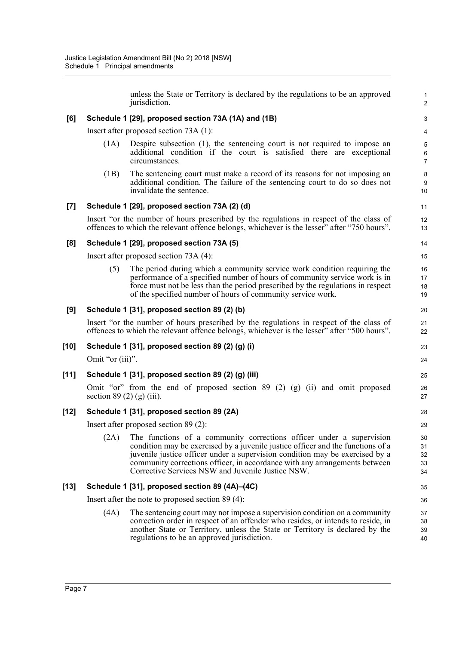unless the State or Territory is declared by the regulations to be an approved jurisdiction.

1 2

25 26 27

### **[6] Schedule 1 [29], proposed section 73A (1A) and (1B)**

Insert after proposed section 73A (1):

- (1A) Despite subsection (1), the sentencing court is not required to impose an additional condition if the court is satisfied there are exceptional circumstances.
- (1B) The sentencing court must make a record of its reasons for not imposing an additional condition. The failure of the sentencing court to do so does not invalidate the sentence.

### **[7] Schedule 1 [29], proposed section 73A (2) (d)**

Insert "or the number of hours prescribed by the regulations in respect of the class of offences to which the relevant offence belongs, whichever is the lesser" after "750 hours".

### **[8] Schedule 1 [29], proposed section 73A (5)**

Insert after proposed section 73A (4):

(5) The period during which a community service work condition requiring the performance of a specified number of hours of community service work is in force must not be less than the period prescribed by the regulations in respect of the specified number of hours of community service work.

#### **[9] Schedule 1 [31], proposed section 89 (2) (b)**

Insert "or the number of hours prescribed by the regulations in respect of the class of offences to which the relevant offence belongs, whichever is the lesser" after "500 hours".

### **[10] Schedule 1 [31], proposed section 89 (2) (g) (i)**

Omit "or (iii)".

#### **[11] Schedule 1 [31], proposed section 89 (2) (g) (iii)**

Omit "or" from the end of proposed section 89 (2) (g) (ii) and omit proposed section  $89(2)(g)(iii)$ .

#### **[12] Schedule 1 [31], proposed section 89 (2A)**

Insert after proposed section 89 (2):

(2A) The functions of a community corrections officer under a supervision condition may be exercised by a juvenile justice officer and the functions of a juvenile justice officer under a supervision condition may be exercised by a community corrections officer, in accordance with any arrangements between Corrective Services NSW and Juvenile Justice NSW.

#### **[13] Schedule 1 [31], proposed section 89 (4A)–(4C)**

Insert after the note to proposed section 89 (4):

(4A) The sentencing court may not impose a supervision condition on a community correction order in respect of an offender who resides, or intends to reside, in another State or Territory, unless the State or Territory is declared by the regulations to be an approved jurisdiction.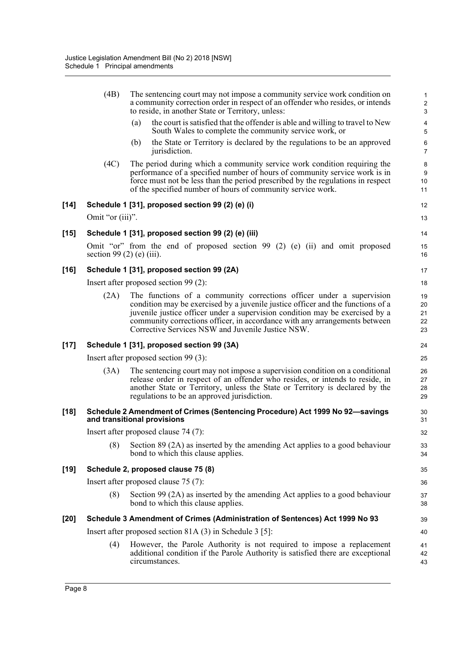|        | (4B)                             |     | The sentencing court may not impose a community service work condition on<br>a community correction order in respect of an offender who resides, or intends<br>to reside, in another State or Territory, unless:                                                                                                                                                           | $\mathbf{1}$<br>$\sqrt{2}$<br>3 |
|--------|----------------------------------|-----|----------------------------------------------------------------------------------------------------------------------------------------------------------------------------------------------------------------------------------------------------------------------------------------------------------------------------------------------------------------------------|---------------------------------|
|        |                                  | (a) | the court is satisfied that the offender is able and willing to travel to New<br>South Wales to complete the community service work, or                                                                                                                                                                                                                                    | $\pmb{4}$<br>$\sqrt{5}$         |
|        |                                  | (b) | the State or Territory is declared by the regulations to be an approved<br>jurisdiction.                                                                                                                                                                                                                                                                                   | $\,6\,$<br>$\overline{7}$       |
|        | (4C)                             |     | The period during which a community service work condition requiring the<br>performance of a specified number of hours of community service work is in<br>force must not be less than the period prescribed by the regulations in respect<br>of the specified number of hours of community service work.                                                                   | 8<br>9<br>10<br>11              |
| [14]   |                                  |     | Schedule 1 [31], proposed section 99 (2) (e) (i)                                                                                                                                                                                                                                                                                                                           | 12                              |
|        | Omit "or (iii)".                 |     |                                                                                                                                                                                                                                                                                                                                                                            | 13                              |
| $[15]$ |                                  |     | Schedule 1 [31], proposed section 99 (2) (e) (iii)                                                                                                                                                                                                                                                                                                                         | 14                              |
|        | section 99 $(2)$ $(e)$ $(iii)$ . |     | Omit "or" from the end of proposed section $99(2)$ (e) (ii) and omit proposed                                                                                                                                                                                                                                                                                              | 15<br>16                        |
| [16]   |                                  |     | Schedule 1 [31], proposed section 99 (2A)                                                                                                                                                                                                                                                                                                                                  | 17                              |
|        |                                  |     | Insert after proposed section 99 (2):                                                                                                                                                                                                                                                                                                                                      | 18                              |
|        | (2A)                             |     | The functions of a community corrections officer under a supervision<br>condition may be exercised by a juvenile justice officer and the functions of a<br>juvenile justice officer under a supervision condition may be exercised by a<br>community corrections officer, in accordance with any arrangements between<br>Corrective Services NSW and Juvenile Justice NSW. | 19<br>20<br>21<br>22<br>23      |
| $[17]$ |                                  |     | Schedule 1 [31], proposed section 99 (3A)                                                                                                                                                                                                                                                                                                                                  | 24                              |
|        |                                  |     | Insert after proposed section 99 (3):                                                                                                                                                                                                                                                                                                                                      | 25                              |
|        | (3A)                             |     | The sentencing court may not impose a supervision condition on a conditional<br>release order in respect of an offender who resides, or intends to reside, in<br>another State or Territory, unless the State or Territory is declared by the<br>regulations to be an approved jurisdiction.                                                                               | 26<br>27<br>28<br>29            |
| $[18]$ | and transitional provisions      |     | Schedule 2 Amendment of Crimes (Sentencing Procedure) Act 1999 No 92-savings                                                                                                                                                                                                                                                                                               | 30<br>31                        |
|        |                                  |     | Insert after proposed clause 74 (7):                                                                                                                                                                                                                                                                                                                                       | 32                              |
|        | (8)                              |     | Section 89 (2A) as inserted by the amending Act applies to a good behaviour<br>bond to which this clause applies.                                                                                                                                                                                                                                                          | 33<br>34                        |
| [19]   |                                  |     | Schedule 2, proposed clause 75 (8)                                                                                                                                                                                                                                                                                                                                         | 35                              |
|        |                                  |     | Insert after proposed clause 75 (7):                                                                                                                                                                                                                                                                                                                                       | 36                              |
|        | (8)                              |     | Section 99 (2A) as inserted by the amending Act applies to a good behaviour<br>bond to which this clause applies.                                                                                                                                                                                                                                                          | 37<br>38                        |
| [20]   |                                  |     | Schedule 3 Amendment of Crimes (Administration of Sentences) Act 1999 No 93                                                                                                                                                                                                                                                                                                | 39                              |
|        |                                  |     | Insert after proposed section 81A $(3)$ in Schedule 3 [5]:                                                                                                                                                                                                                                                                                                                 | 40                              |
|        | (4)                              |     | However, the Parole Authority is not required to impose a replacement<br>additional condition if the Parole Authority is satisfied there are exceptional<br>circumstances.                                                                                                                                                                                                 | 41<br>42<br>43                  |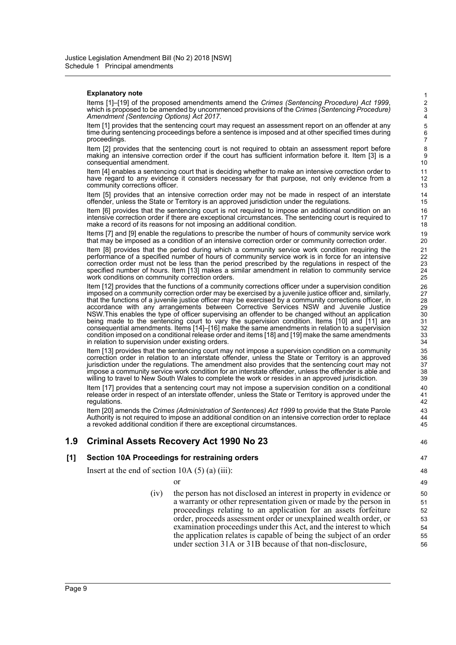#### **Explanatory note**

Items [1]–[19] of the proposed amendments amend the *Crimes (Sentencing Procedure) Act 1999*, which is proposed to be amended by uncommenced provisions of the *Crimes (Sentencing Procedure) Amendment (Sentencing Options) Act 2017*.

Item [1] provides that the sentencing court may request an assessment report on an offender at any time during sentencing proceedings before a sentence is imposed and at other specified times during proceedings.

Item [2] provides that the sentencing court is not required to obtain an assessment report before making an intensive correction order if the court has sufficient information before it. Item [3] is a consequential amendment.

Item [4] enables a sentencing court that is deciding whether to make an intensive correction order to have regard to any evidence it considers necessary for that purpose, not only evidence from a community corrections officer.

Item [5] provides that an intensive correction order may not be made in respect of an interstate offender, unless the State or Territory is an approved jurisdiction under the regulations.

Item [6] provides that the sentencing court is not required to impose an additional condition on an intensive correction order if there are exceptional circumstances. The sentencing court is required to make a record of its reasons for not imposing an additional condition.

Items [7] and [9] enable the regulations to prescribe the number of hours of community service work that may be imposed as a condition of an intensive correction order or community correction order.

Item [8] provides that the period during which a community service work condition requiring the performance of a specified number of hours of community service work is in force for an intensive correction order must not be less than the period prescribed by the regulations in respect of the specified number of hours. Item [13] makes a similar amendment in relation to community service work conditions on community correction orders.

Item [12] provides that the functions of a community corrections officer under a supervision condition imposed on a community correction order may be exercised by a juvenile justice officer and, similarly, that the functions of a juvenile justice officer may be exercised by a community corrections officer, in accordance with any arrangements between Corrective Services NSW and Juvenile Justice NSW.This enables the type of officer supervising an offender to be changed without an application being made to the sentencing court to vary the supervision condition. Items [10] and [11] are consequential amendments. Items [14]–[16] make the same amendments in relation to a supervision condition imposed on a conditional release order and items [18] and [19] make the same amendments in relation to supervision under existing orders.

Item [13] provides that the sentencing court may not impose a supervision condition on a community correction order in relation to an interstate offender, unless the State or Territory is an approved jurisdiction under the regulations. The amendment also provides that the sentencing court may not impose a community service work condition for an interstate offender, unless the offender is able and willing to travel to New South Wales to complete the work or resides in an approved jurisdiction.

Item [17] provides that a sentencing court may not impose a supervision condition on a conditional release order in respect of an interstate offender, unless the State or Territory is approved under the regulations.

Item [20] amends the *Crimes (Administration of Sentences) Act 1999* to provide that the State Parole Authority is not required to impose an additional condition on an intensive correction order to replace a revoked additional condition if there are exceptional circumstances.

# **1.9 Criminal Assets Recovery Act 1990 No 23**

#### **[1] Section 10A Proceedings for restraining orders**

Insert at the end of section  $10A(5)(a)(iii)$ :

or

(iv) the person has not disclosed an interest in property in evidence or a warranty or other representation given or made by the person in proceedings relating to an application for an assets forfeiture order, proceeds assessment order or unexplained wealth order, or examination proceedings under this Act, and the interest to which the application relates is capable of being the subject of an order under section 31A or 31B because of that non-disclosure,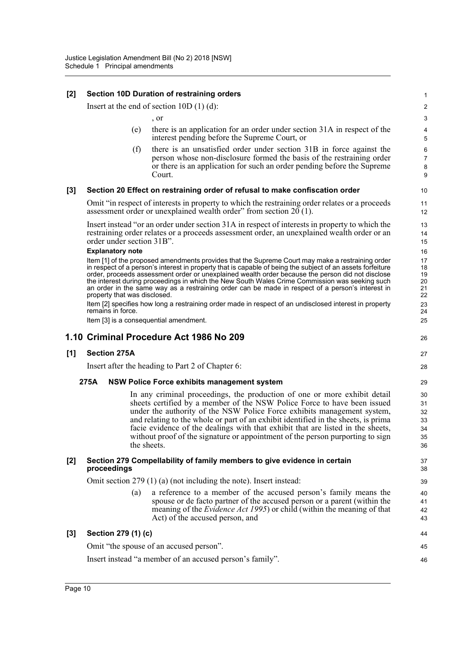# **[2] Section 10D Duration of restraining orders**

Insert at the end of section 10D (1) (d):

, or

(e) there is an application for an order under section 31A in respect of the interest pending before the Supreme Court, or

26

44 45 46

(f) there is an unsatisfied order under section 31B in force against the person whose non-disclosure formed the basis of the restraining order or there is an application for such an order pending before the Supreme Court.

### **[3] Section 20 Effect on restraining order of refusal to make confiscation order**

Omit "in respect of interests in property to which the restraining order relates or a proceeds assessment order or unexplained wealth order" from section 20 (1).

Insert instead "or an order under section 31A in respect of interests in property to which the restraining order relates or a proceeds assessment order, an unexplained wealth order or an order under section 31B".

#### **Explanatory note**

Item [1] of the proposed amendments provides that the Supreme Court may make a restraining order in respect of a person's interest in property that is capable of being the subject of an assets forfeiture order, proceeds assessment order or unexplained wealth order because the person did not disclose the interest during proceedings in which the New South Wales Crime Commission was seeking such an order in the same way as a restraining order can be made in respect of a person's interest in property that was disclosed.

Item [2] specifies how long a restraining order made in respect of an undisclosed interest in property remains in force.

Item [3] is a consequential amendment.

# **1.10 Criminal Procedure Act 1986 No 209**

#### **[1] Section 275A**

Insert after the heading to Part 2 of Chapter 6:

#### **275A NSW Police Force exhibits management system**

In any criminal proceedings, the production of one or more exhibit detail sheets certified by a member of the NSW Police Force to have been issued under the authority of the NSW Police Force exhibits management system, and relating to the whole or part of an exhibit identified in the sheets, is prima facie evidence of the dealings with that exhibit that are listed in the sheets, without proof of the signature or appointment of the person purporting to sign the sheets.

#### **[2] Section 279 Compellability of family members to give evidence in certain proceedings**

Omit section 279 (1) (a) (not including the note). Insert instead:

(a) a reference to a member of the accused person's family means the spouse or de facto partner of the accused person or a parent (within the meaning of the *Evidence Act 1995*) or child (within the meaning of that Act) of the accused person, and

# **[3] Section 279 (1) (c)** Omit "the spouse of an accused person".

Insert instead "a member of an accused person's family".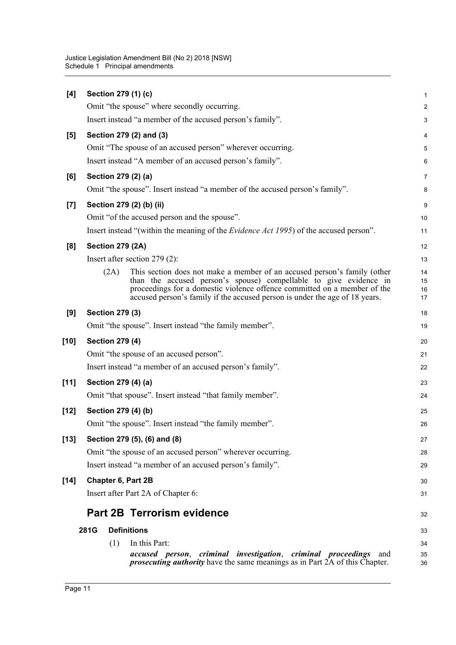| [4]    | Section 279 (1) (c)     |                                                                                                                                                                                                                                                                                                          | $\mathbf 1$          |
|--------|-------------------------|----------------------------------------------------------------------------------------------------------------------------------------------------------------------------------------------------------------------------------------------------------------------------------------------------------|----------------------|
|        |                         | Omit "the spouse" where secondly occurring.                                                                                                                                                                                                                                                              | $\overline{2}$       |
|        |                         | Insert instead "a member of the accused person's family".                                                                                                                                                                                                                                                | 3                    |
| $[5]$  |                         | Section 279 (2) and (3)                                                                                                                                                                                                                                                                                  | 4                    |
|        |                         | Omit "The spouse of an accused person" wherever occurring.                                                                                                                                                                                                                                               | 5                    |
|        |                         | Insert instead "A member of an accused person's family".                                                                                                                                                                                                                                                 | 6                    |
| [6]    | Section 279 (2) (a)     |                                                                                                                                                                                                                                                                                                          | $\overline{7}$       |
|        |                         | Omit "the spouse". Insert instead "a member of the accused person's family".                                                                                                                                                                                                                             | 8                    |
| $[7]$  |                         | Section 279 (2) (b) (ii)                                                                                                                                                                                                                                                                                 | 9                    |
|        |                         | Omit "of the accused person and the spouse".                                                                                                                                                                                                                                                             | 10                   |
|        |                         | Insert instead "(within the meaning of the <i>Evidence Act 1995</i> ) of the accused person".                                                                                                                                                                                                            | 11                   |
| [8]    | <b>Section 279 (2A)</b> |                                                                                                                                                                                                                                                                                                          | 12                   |
|        |                         | Insert after section $279(2)$ :                                                                                                                                                                                                                                                                          | 13                   |
|        | (2A)                    | This section does not make a member of an accused person's family (other<br>than the accused person's spouse) compellable to give evidence in<br>proceedings for a domestic violence offence committed on a member of the<br>accused person's family if the accused person is under the age of 18 years. | 14<br>15<br>16<br>17 |
| [9]    | <b>Section 279 (3)</b>  |                                                                                                                                                                                                                                                                                                          | 18                   |
|        |                         | Omit "the spouse". Insert instead "the family member".                                                                                                                                                                                                                                                   | 19                   |
| [10]   | <b>Section 279 (4)</b>  |                                                                                                                                                                                                                                                                                                          | 20                   |
|        |                         | Omit "the spouse of an accused person".                                                                                                                                                                                                                                                                  | 21                   |
|        |                         | Insert instead "a member of an accused person's family".                                                                                                                                                                                                                                                 | 22                   |
| $[11]$ | Section 279 (4) (a)     |                                                                                                                                                                                                                                                                                                          | 23                   |
|        |                         | Omit "that spouse". Insert instead "that family member".                                                                                                                                                                                                                                                 | 24                   |
| [12]   | Section 279 (4) (b)     |                                                                                                                                                                                                                                                                                                          | 25                   |
|        |                         | Omit "the spouse". Insert instead "the family member".                                                                                                                                                                                                                                                   | 26                   |
| $[13]$ |                         | Section 279 (5), (6) and (8)                                                                                                                                                                                                                                                                             | 27                   |
|        |                         | Omit "the spouse of an accused person" wherever occurring.                                                                                                                                                                                                                                               | 28                   |
|        |                         | Insert instead "a member of an accused person's family".                                                                                                                                                                                                                                                 | 29                   |
| $[14]$ | Chapter 6, Part 2B      |                                                                                                                                                                                                                                                                                                          | 30                   |
|        |                         | Insert after Part 2A of Chapter 6:                                                                                                                                                                                                                                                                       | 31                   |
|        |                         | <b>Part 2B Terrorism evidence</b>                                                                                                                                                                                                                                                                        | 32                   |
|        | 281G                    | <b>Definitions</b>                                                                                                                                                                                                                                                                                       | 33                   |
|        | (1)                     | In this Part:                                                                                                                                                                                                                                                                                            | 34                   |
|        |                         | accused person, criminal investigation, criminal proceedings<br>and<br><i>prosecuting authority</i> have the same meanings as in Part $2A$ of this Chapter.                                                                                                                                              | 35<br>36             |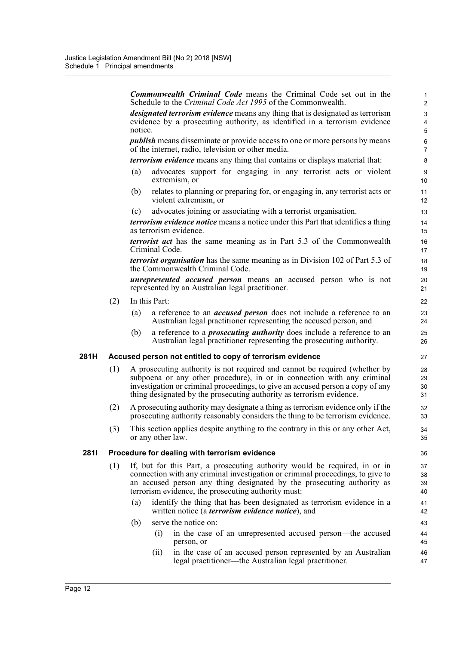*Commonwealth Criminal Code* means the Criminal Code set out in the Schedule to the *Criminal Code Act 1995* of the Commonwealth. *designated terrorism evidence* means any thing that is designated as terrorism evidence by a prosecuting authority, as identified in a terrorism evidence notice. *publish* means disseminate or provide access to one or more persons by means of the internet, radio, television or other media. *terrorism evidence* means any thing that contains or displays material that: (a) advocates support for engaging in any terrorist acts or violent extremism, or (b) relates to planning or preparing for, or engaging in, any terrorist acts or violent extremism, or (c) advocates joining or associating with a terrorist organisation. *terrorism evidence notice* means a notice under this Part that identifies a thing as terrorism evidence. *terrorist act* has the same meaning as in Part 5.3 of the Commonwealth Criminal Code. *terrorist organisation* has the same meaning as in Division 102 of Part 5.3 of the Commonwealth Criminal Code. *unrepresented accused person* means an accused person who is not represented by an Australian legal practitioner. (2) In this Part: (a) a reference to an *accused person* does not include a reference to an Australian legal practitioner representing the accused person, and (b) a reference to a *prosecuting authority* does include a reference to an Australian legal practitioner representing the prosecuting authority. **281H Accused person not entitled to copy of terrorism evidence** (1) A prosecuting authority is not required and cannot be required (whether by subpoena or any other procedure), in or in connection with any criminal investigation or criminal proceedings, to give an accused person a copy of any thing designated by the prosecuting authority as terrorism evidence. (2) A prosecuting authority may designate a thing as terrorism evidence only if the prosecuting authority reasonably considers the thing to be terrorism evidence. (3) This section applies despite anything to the contrary in this or any other Act, or any other law. **281I Procedure for dealing with terrorism evidence** (1) If, but for this Part, a prosecuting authority would be required, in or in connection with any criminal investigation or criminal proceedings, to give to an accused person any thing designated by the prosecuting authority as terrorism evidence, the prosecuting authority must: (a) identify the thing that has been designated as terrorism evidence in a written notice (a *terrorism evidence notice*), and (b) serve the notice on: (i) in the case of an unrepresented accused person—the accused person, or (ii) in the case of an accused person represented by an Australian legal practitioner—the Australian legal practitioner. 1 2 3 4 5 6 7 8 9 10 11 12 13 14 15 16 17 18 19 20 21 22 23 24 25 26 27 28 29 30 31 32 33 34 35 36 37 38 39 40 41 42 43 44 45 46 47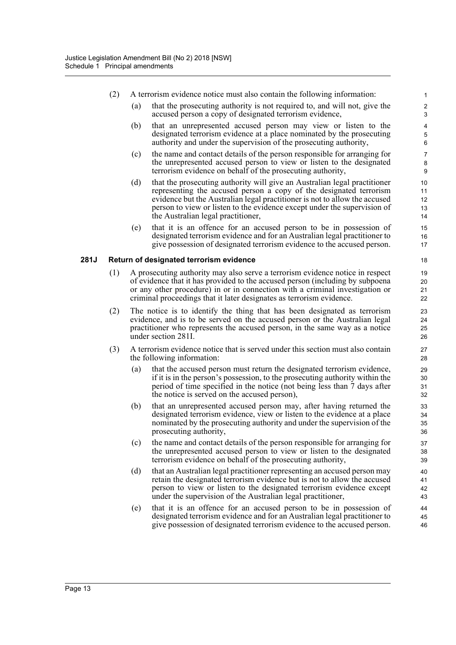| (2)<br>A terrorism evidence notice must also contain the following information:<br>(a)<br>that the prosecuting authority is not required to, and will not, give the<br>accused person a copy of designated terrorism evidence,<br>that an unrepresented accused person may view or listen to the<br>(b)<br>designated terrorism evidence at a place nominated by the prosecuting<br>authority and under the supervision of the prosecuting authority,<br>(c)<br>the name and contact details of the person responsible for arranging for<br>the unrepresented accused person to view or listen to the designated<br>terrorism evidence on behalf of the prosecuting authority,<br>(d)<br>that the prosecuting authority will give an Australian legal practitioner<br>representing the accused person a copy of the designated terrorism<br>evidence but the Australian legal practitioner is not to allow the accused<br>person to view or listen to the evidence except under the supervision of<br>the Australian legal practitioner,<br>that it is an offence for an accused person to be in possession of<br>(e)<br>designated terrorism evidence and for an Australian legal practitioner to<br>give possession of designated terrorism evidence to the accused person.<br>281J<br>Return of designated terrorism evidence<br>(1)<br>A prosecuting authority may also serve a terrorism evidence notice in respect<br>of evidence that it has provided to the accused person (including by subpoena<br>or any other procedure) in or in connection with a criminal investigation or<br>criminal proceedings that it later designates as terrorism evidence.<br>(2)<br>The notice is to identify the thing that has been designated as terrorism<br>evidence, and is to be served on the accused person or the Australian legal<br>practitioner who represents the accused person, in the same way as a notice<br>under section 281I.<br>(3)<br>A terrorism evidence notice that is served under this section must also contain<br>the following information:<br>that the accused person must return the designated terrorism evidence,<br>(a)<br>if it is in the person's possession, to the prosecuting authority within the<br>period of time specified in the notice (not being less than 7 days after<br>the notice is served on the accused person),<br>that an unrepresented accused person may, after having returned the<br>(b)<br>designated terrorism evidence, view or listen to the evidence at a place<br>nominated by the prosecuting authority and under the supervision of the<br>prosecuting authority,<br>(c)<br>the name and contact details of the person responsible for arranging for<br>the unrepresented accused person to view or listen to the designated<br>terrorism evidence on behalf of the prosecuting authority,<br>(d)<br>that an Australian legal practitioner representing an accused person may<br>retain the designated terrorism evidence but is not to allow the accused<br>person to view or listen to the designated terrorism evidence except |  |  |                              |
|------------------------------------------------------------------------------------------------------------------------------------------------------------------------------------------------------------------------------------------------------------------------------------------------------------------------------------------------------------------------------------------------------------------------------------------------------------------------------------------------------------------------------------------------------------------------------------------------------------------------------------------------------------------------------------------------------------------------------------------------------------------------------------------------------------------------------------------------------------------------------------------------------------------------------------------------------------------------------------------------------------------------------------------------------------------------------------------------------------------------------------------------------------------------------------------------------------------------------------------------------------------------------------------------------------------------------------------------------------------------------------------------------------------------------------------------------------------------------------------------------------------------------------------------------------------------------------------------------------------------------------------------------------------------------------------------------------------------------------------------------------------------------------------------------------------------------------------------------------------------------------------------------------------------------------------------------------------------------------------------------------------------------------------------------------------------------------------------------------------------------------------------------------------------------------------------------------------------------------------------------------------------------------------------------------------------------------------------------------------------------------------------------------------------------------------------------------------------------------------------------------------------------------------------------------------------------------------------------------------------------------------------------------------------------------------------------------------------------------------------------------------------------------------------------------------------------------------------------------------------------------------------------------------------------------------------------------------------------------------------------------------------------------------------------------------------------------------------|--|--|------------------------------|
|                                                                                                                                                                                                                                                                                                                                                                                                                                                                                                                                                                                                                                                                                                                                                                                                                                                                                                                                                                                                                                                                                                                                                                                                                                                                                                                                                                                                                                                                                                                                                                                                                                                                                                                                                                                                                                                                                                                                                                                                                                                                                                                                                                                                                                                                                                                                                                                                                                                                                                                                                                                                                                                                                                                                                                                                                                                                                                                                                                                                                                                                                                |  |  | 1                            |
|                                                                                                                                                                                                                                                                                                                                                                                                                                                                                                                                                                                                                                                                                                                                                                                                                                                                                                                                                                                                                                                                                                                                                                                                                                                                                                                                                                                                                                                                                                                                                                                                                                                                                                                                                                                                                                                                                                                                                                                                                                                                                                                                                                                                                                                                                                                                                                                                                                                                                                                                                                                                                                                                                                                                                                                                                                                                                                                                                                                                                                                                                                |  |  | $\overline{\mathbf{c}}$<br>3 |
|                                                                                                                                                                                                                                                                                                                                                                                                                                                                                                                                                                                                                                                                                                                                                                                                                                                                                                                                                                                                                                                                                                                                                                                                                                                                                                                                                                                                                                                                                                                                                                                                                                                                                                                                                                                                                                                                                                                                                                                                                                                                                                                                                                                                                                                                                                                                                                                                                                                                                                                                                                                                                                                                                                                                                                                                                                                                                                                                                                                                                                                                                                |  |  | 4<br>5<br>6                  |
|                                                                                                                                                                                                                                                                                                                                                                                                                                                                                                                                                                                                                                                                                                                                                                                                                                                                                                                                                                                                                                                                                                                                                                                                                                                                                                                                                                                                                                                                                                                                                                                                                                                                                                                                                                                                                                                                                                                                                                                                                                                                                                                                                                                                                                                                                                                                                                                                                                                                                                                                                                                                                                                                                                                                                                                                                                                                                                                                                                                                                                                                                                |  |  | 7<br>8<br>9                  |
|                                                                                                                                                                                                                                                                                                                                                                                                                                                                                                                                                                                                                                                                                                                                                                                                                                                                                                                                                                                                                                                                                                                                                                                                                                                                                                                                                                                                                                                                                                                                                                                                                                                                                                                                                                                                                                                                                                                                                                                                                                                                                                                                                                                                                                                                                                                                                                                                                                                                                                                                                                                                                                                                                                                                                                                                                                                                                                                                                                                                                                                                                                |  |  | 10<br>11<br>12<br>13<br>14   |
|                                                                                                                                                                                                                                                                                                                                                                                                                                                                                                                                                                                                                                                                                                                                                                                                                                                                                                                                                                                                                                                                                                                                                                                                                                                                                                                                                                                                                                                                                                                                                                                                                                                                                                                                                                                                                                                                                                                                                                                                                                                                                                                                                                                                                                                                                                                                                                                                                                                                                                                                                                                                                                                                                                                                                                                                                                                                                                                                                                                                                                                                                                |  |  | 15<br>16<br>17               |
|                                                                                                                                                                                                                                                                                                                                                                                                                                                                                                                                                                                                                                                                                                                                                                                                                                                                                                                                                                                                                                                                                                                                                                                                                                                                                                                                                                                                                                                                                                                                                                                                                                                                                                                                                                                                                                                                                                                                                                                                                                                                                                                                                                                                                                                                                                                                                                                                                                                                                                                                                                                                                                                                                                                                                                                                                                                                                                                                                                                                                                                                                                |  |  | 18                           |
|                                                                                                                                                                                                                                                                                                                                                                                                                                                                                                                                                                                                                                                                                                                                                                                                                                                                                                                                                                                                                                                                                                                                                                                                                                                                                                                                                                                                                                                                                                                                                                                                                                                                                                                                                                                                                                                                                                                                                                                                                                                                                                                                                                                                                                                                                                                                                                                                                                                                                                                                                                                                                                                                                                                                                                                                                                                                                                                                                                                                                                                                                                |  |  | 19<br>20<br>21<br>22         |
|                                                                                                                                                                                                                                                                                                                                                                                                                                                                                                                                                                                                                                                                                                                                                                                                                                                                                                                                                                                                                                                                                                                                                                                                                                                                                                                                                                                                                                                                                                                                                                                                                                                                                                                                                                                                                                                                                                                                                                                                                                                                                                                                                                                                                                                                                                                                                                                                                                                                                                                                                                                                                                                                                                                                                                                                                                                                                                                                                                                                                                                                                                |  |  | 23<br>24<br>25<br>26         |
|                                                                                                                                                                                                                                                                                                                                                                                                                                                                                                                                                                                                                                                                                                                                                                                                                                                                                                                                                                                                                                                                                                                                                                                                                                                                                                                                                                                                                                                                                                                                                                                                                                                                                                                                                                                                                                                                                                                                                                                                                                                                                                                                                                                                                                                                                                                                                                                                                                                                                                                                                                                                                                                                                                                                                                                                                                                                                                                                                                                                                                                                                                |  |  | 27<br>28                     |
|                                                                                                                                                                                                                                                                                                                                                                                                                                                                                                                                                                                                                                                                                                                                                                                                                                                                                                                                                                                                                                                                                                                                                                                                                                                                                                                                                                                                                                                                                                                                                                                                                                                                                                                                                                                                                                                                                                                                                                                                                                                                                                                                                                                                                                                                                                                                                                                                                                                                                                                                                                                                                                                                                                                                                                                                                                                                                                                                                                                                                                                                                                |  |  | 29<br>30<br>31<br>32         |
|                                                                                                                                                                                                                                                                                                                                                                                                                                                                                                                                                                                                                                                                                                                                                                                                                                                                                                                                                                                                                                                                                                                                                                                                                                                                                                                                                                                                                                                                                                                                                                                                                                                                                                                                                                                                                                                                                                                                                                                                                                                                                                                                                                                                                                                                                                                                                                                                                                                                                                                                                                                                                                                                                                                                                                                                                                                                                                                                                                                                                                                                                                |  |  | 33<br>34<br>35<br>36         |
|                                                                                                                                                                                                                                                                                                                                                                                                                                                                                                                                                                                                                                                                                                                                                                                                                                                                                                                                                                                                                                                                                                                                                                                                                                                                                                                                                                                                                                                                                                                                                                                                                                                                                                                                                                                                                                                                                                                                                                                                                                                                                                                                                                                                                                                                                                                                                                                                                                                                                                                                                                                                                                                                                                                                                                                                                                                                                                                                                                                                                                                                                                |  |  | 37<br>38<br>39               |
| under the supervision of the Australian legal practitioner,                                                                                                                                                                                                                                                                                                                                                                                                                                                                                                                                                                                                                                                                                                                                                                                                                                                                                                                                                                                                                                                                                                                                                                                                                                                                                                                                                                                                                                                                                                                                                                                                                                                                                                                                                                                                                                                                                                                                                                                                                                                                                                                                                                                                                                                                                                                                                                                                                                                                                                                                                                                                                                                                                                                                                                                                                                                                                                                                                                                                                                    |  |  | 40<br>41<br>42<br>43         |
| that it is an offence for an accused person to be in possession of<br>(e)<br>designated terrorism evidence and for an Australian legal practitioner to<br>give possession of designated terrorism evidence to the accused person.                                                                                                                                                                                                                                                                                                                                                                                                                                                                                                                                                                                                                                                                                                                                                                                                                                                                                                                                                                                                                                                                                                                                                                                                                                                                                                                                                                                                                                                                                                                                                                                                                                                                                                                                                                                                                                                                                                                                                                                                                                                                                                                                                                                                                                                                                                                                                                                                                                                                                                                                                                                                                                                                                                                                                                                                                                                              |  |  | 44<br>45<br>46               |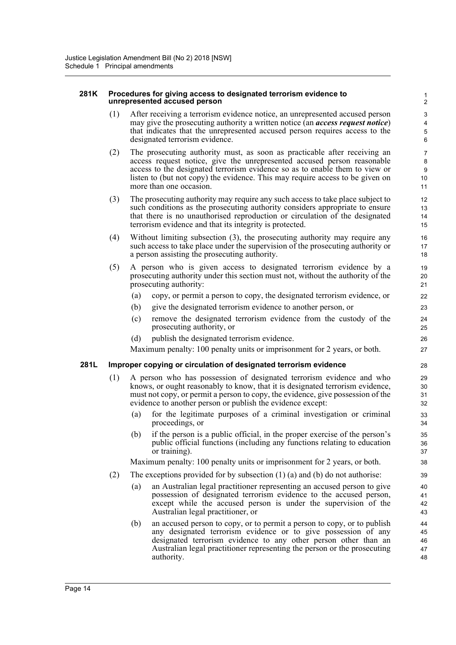#### **281K Procedures for giving access to designated terrorism evidence to unrepresented accused person**

(1) After receiving a terrorism evidence notice, an unrepresented accused person may give the prosecuting authority a written notice (an *access request notice*) that indicates that the unrepresented accused person requires access to the designated terrorism evidence.

- (2) The prosecuting authority must, as soon as practicable after receiving an access request notice, give the unrepresented accused person reasonable access to the designated terrorism evidence so as to enable them to view or listen to (but not copy) the evidence. This may require access to be given on more than one occasion.
- (3) The prosecuting authority may require any such access to take place subject to such conditions as the prosecuting authority considers appropriate to ensure that there is no unauthorised reproduction or circulation of the designated terrorism evidence and that its integrity is protected.
- (4) Without limiting subsection (3), the prosecuting authority may require any such access to take place under the supervision of the prosecuting authority or a person assisting the prosecuting authority.
- (5) A person who is given access to designated terrorism evidence by a prosecuting authority under this section must not, without the authority of the prosecuting authority:
	- (a) copy, or permit a person to copy, the designated terrorism evidence, or
	- (b) give the designated terrorism evidence to another person, or
	- (c) remove the designated terrorism evidence from the custody of the prosecuting authority, or
	- (d) publish the designated terrorism evidence.

Maximum penalty: 100 penalty units or imprisonment for 2 years, or both.

# **281L Improper copying or circulation of designated terrorism evidence**

- (1) A person who has possession of designated terrorism evidence and who knows, or ought reasonably to know, that it is designated terrorism evidence, must not copy, or permit a person to copy, the evidence, give possession of the evidence to another person or publish the evidence except:
	- (a) for the legitimate purposes of a criminal investigation or criminal proceedings, or
	- (b) if the person is a public official, in the proper exercise of the person's public official functions (including any functions relating to education or training).

Maximum penalty: 100 penalty units or imprisonment for 2 years, or both.

- (2) The exceptions provided for by subsection  $(1)$  (a) and (b) do not authorise:
	- (a) an Australian legal practitioner representing an accused person to give possession of designated terrorism evidence to the accused person, except while the accused person is under the supervision of the Australian legal practitioner, or
	- (b) an accused person to copy, or to permit a person to copy, or to publish any designated terrorism evidence or to give possession of any designated terrorism evidence to any other person other than an Australian legal practitioner representing the person or the prosecuting authority.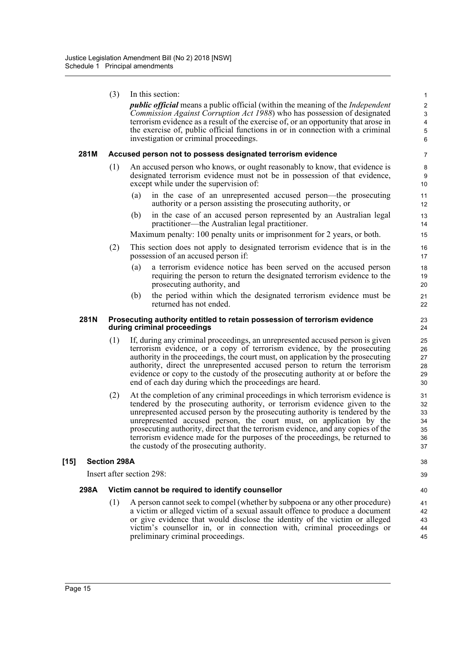*public official* means a public official (within the meaning of the *Independent Commission Against Corruption Act 1988*) who has possession of designated terrorism evidence as a result of the exercise of, or an opportunity that arose in the exercise of, public official functions in or in connection with a criminal investigation or criminal proceedings.

38 39

### **281M Accused person not to possess designated terrorism evidence**

- (1) An accused person who knows, or ought reasonably to know, that evidence is designated terrorism evidence must not be in possession of that evidence, except while under the supervision of:
	- (a) in the case of an unrepresented accused person—the prosecuting authority or a person assisting the prosecuting authority, or
	- (b) in the case of an accused person represented by an Australian legal practitioner—the Australian legal practitioner.

Maximum penalty: 100 penalty units or imprisonment for 2 years, or both.

- (2) This section does not apply to designated terrorism evidence that is in the possession of an accused person if:
	- (a) a terrorism evidence notice has been served on the accused person requiring the person to return the designated terrorism evidence to the prosecuting authority, and
	- (b) the period within which the designated terrorism evidence must be returned has not ended.

#### **281N Prosecuting authority entitled to retain possession of terrorism evidence during criminal proceedings**

- (1) If, during any criminal proceedings, an unrepresented accused person is given terrorism evidence, or a copy of terrorism evidence, by the prosecuting authority in the proceedings, the court must, on application by the prosecuting authority, direct the unrepresented accused person to return the terrorism evidence or copy to the custody of the prosecuting authority at or before the end of each day during which the proceedings are heard.
- (2) At the completion of any criminal proceedings in which terrorism evidence is tendered by the prosecuting authority, or terrorism evidence given to the unrepresented accused person by the prosecuting authority is tendered by the unrepresented accused person, the court must, on application by the prosecuting authority, direct that the terrorism evidence, and any copies of the terrorism evidence made for the purposes of the proceedings, be returned to the custody of the prosecuting authority.

# **[15] Section 298A**

Insert after section 298:

# **298A Victim cannot be required to identify counsellor**

(1) A person cannot seek to compel (whether by subpoena or any other procedure) a victim or alleged victim of a sexual assault offence to produce a document or give evidence that would disclose the identity of the victim or alleged victim's counsellor in, or in connection with, criminal proceedings or preliminary criminal proceedings.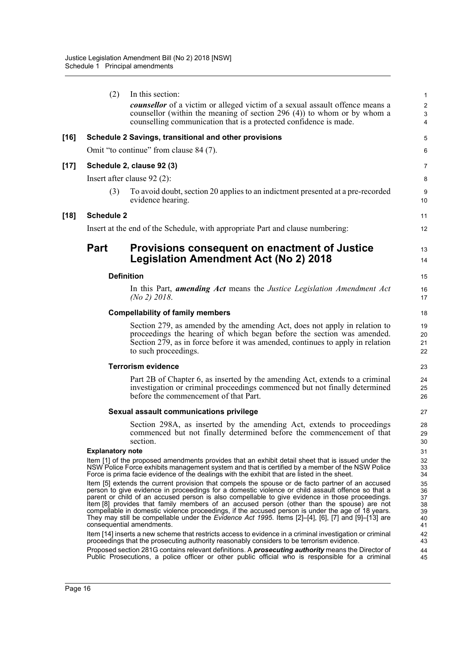|        | (2)                     | In this section:                                                                                                                                                                                                                                                                                                                                                                                                                                                                                                                                                                                                                                                                                                                                                                      | 1                                            |
|--------|-------------------------|---------------------------------------------------------------------------------------------------------------------------------------------------------------------------------------------------------------------------------------------------------------------------------------------------------------------------------------------------------------------------------------------------------------------------------------------------------------------------------------------------------------------------------------------------------------------------------------------------------------------------------------------------------------------------------------------------------------------------------------------------------------------------------------|----------------------------------------------|
|        |                         | <b><i>counsellor</i></b> of a victim or alleged victim of a sexual assault offence means a<br>counsellor (within the meaning of section $296(4)$ ) to whom or by whom a<br>counselling communication that is a protected confidence is made.                                                                                                                                                                                                                                                                                                                                                                                                                                                                                                                                          | $\overline{\mathbf{c}}$<br>3<br>4            |
| $[16]$ |                         | Schedule 2 Savings, transitional and other provisions                                                                                                                                                                                                                                                                                                                                                                                                                                                                                                                                                                                                                                                                                                                                 | 5                                            |
|        |                         | Omit "to continue" from clause 84 (7).                                                                                                                                                                                                                                                                                                                                                                                                                                                                                                                                                                                                                                                                                                                                                | 6                                            |
| $[17]$ |                         | Schedule 2, clause 92 (3)                                                                                                                                                                                                                                                                                                                                                                                                                                                                                                                                                                                                                                                                                                                                                             | 7                                            |
|        |                         | Insert after clause $92(2)$ :                                                                                                                                                                                                                                                                                                                                                                                                                                                                                                                                                                                                                                                                                                                                                         | 8                                            |
|        | (3)                     | To avoid doubt, section 20 applies to an indictment presented at a pre-recorded<br>evidence hearing.                                                                                                                                                                                                                                                                                                                                                                                                                                                                                                                                                                                                                                                                                  | 9<br>10                                      |
| $[18]$ | <b>Schedule 2</b>       |                                                                                                                                                                                                                                                                                                                                                                                                                                                                                                                                                                                                                                                                                                                                                                                       | 11                                           |
|        |                         | Insert at the end of the Schedule, with appropriate Part and clause numbering:                                                                                                                                                                                                                                                                                                                                                                                                                                                                                                                                                                                                                                                                                                        | 12                                           |
|        | <b>Part</b>             | Provisions consequent on enactment of Justice<br><b>Legislation Amendment Act (No 2) 2018</b>                                                                                                                                                                                                                                                                                                                                                                                                                                                                                                                                                                                                                                                                                         | 13<br>14                                     |
|        |                         | <b>Definition</b>                                                                                                                                                                                                                                                                                                                                                                                                                                                                                                                                                                                                                                                                                                                                                                     | 15                                           |
|        |                         | In this Part, <i>amending Act</i> means the <i>Justice Legislation Amendment Act</i><br>(No 2) 2018.                                                                                                                                                                                                                                                                                                                                                                                                                                                                                                                                                                                                                                                                                  | 16<br>17                                     |
|        |                         | <b>Compellability of family members</b>                                                                                                                                                                                                                                                                                                                                                                                                                                                                                                                                                                                                                                                                                                                                               | 18                                           |
|        |                         | Section 279, as amended by the amending Act, does not apply in relation to<br>proceedings the hearing of which began before the section was amended.<br>Section 279, as in force before it was amended, continues to apply in relation<br>to such proceedings.                                                                                                                                                                                                                                                                                                                                                                                                                                                                                                                        | 19<br>20<br>21<br>22                         |
|        |                         | <b>Terrorism evidence</b>                                                                                                                                                                                                                                                                                                                                                                                                                                                                                                                                                                                                                                                                                                                                                             | 23                                           |
|        |                         | Part 2B of Chapter 6, as inserted by the amending Act, extends to a criminal<br>investigation or criminal proceedings commenced but not finally determined<br>before the commencement of that Part.                                                                                                                                                                                                                                                                                                                                                                                                                                                                                                                                                                                   | 24<br>25<br>26                               |
|        |                         | Sexual assault communications privilege                                                                                                                                                                                                                                                                                                                                                                                                                                                                                                                                                                                                                                                                                                                                               | 27                                           |
|        |                         | Section 298A, as inserted by the amending Act, extends to proceedings<br>commenced but not finally determined before the commencement of that<br>section.                                                                                                                                                                                                                                                                                                                                                                                                                                                                                                                                                                                                                             | 28<br>29<br>30                               |
|        | <b>Explanatory note</b> |                                                                                                                                                                                                                                                                                                                                                                                                                                                                                                                                                                                                                                                                                                                                                                                       | 31                                           |
|        |                         | Item [1] of the proposed amendments provides that an exhibit detail sheet that is issued under the<br>NSW Police Force exhibits management system and that is certified by a member of the NSW Police<br>Force is prima facie evidence of the dealings with the exhibit that are listed in the sheet.                                                                                                                                                                                                                                                                                                                                                                                                                                                                                 | 32<br>33<br>34                               |
|        |                         | Item [5] extends the current provision that compels the spouse or de facto partner of an accused<br>person to give evidence in proceedings for a domestic violence or child assault offence so that a<br>parent or child of an accused person is also compellable to give evidence in those proceedings.<br>Item [8] provides that family members of an accused person (other than the spouse) are not<br>compellable in domestic violence proceedings, if the accused person is under the age of 18 years.<br>They may still be compellable under the <i>Evidence Act 1995</i> . Items $[2]$ - $[4]$ , $[6]$ , $[7]$ and $[9]$ - $[13]$ are<br>consequential amendments.<br>Item [14] inserts a new scheme that restricts access to evidence in a criminal investigation or criminal | 35<br>36<br>37<br>38<br>39<br>40<br>41<br>42 |
|        |                         | proceedings that the prosecuting authority reasonably considers to be terrorism evidence.                                                                                                                                                                                                                                                                                                                                                                                                                                                                                                                                                                                                                                                                                             | 43                                           |
|        |                         | Proposed section 281G contains relevant definitions. A <i>prosecuting authority</i> means the Director of<br>Public Prosecutions, a police officer or other public official who is responsible for a criminal                                                                                                                                                                                                                                                                                                                                                                                                                                                                                                                                                                         | 44<br>45                                     |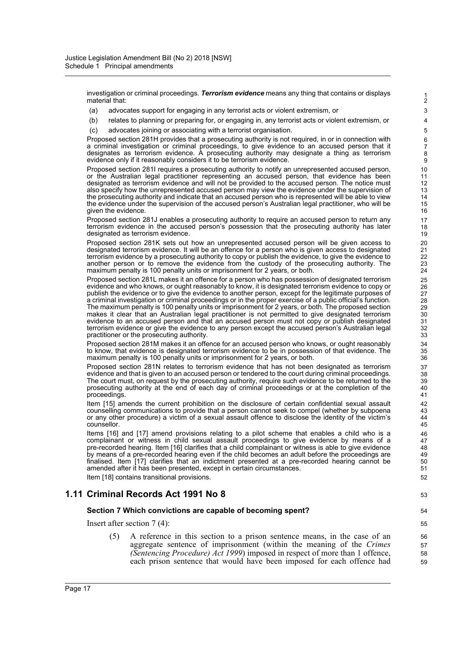investigation or criminal proceedings. *Terrorism evidence* means any thing that contains or displays material that:

- (a) advocates support for engaging in any terrorist acts or violent extremism, or
- (b) relates to planning or preparing for, or engaging in, any terrorist acts or violent extremism, or
- (c) advocates joining or associating with a terrorist organisation.

Proposed section 281H provides that a prosecuting authority is not required, in or in connection with a criminal investigation or criminal proceedings, to give evidence to an accused person that it designates as terrorism evidence. A prosecuting authority may designate a thing as terrorism evidence only if it reasonably considers it to be terrorism evidence.

Proposed section 281I requires a prosecuting authority to notify an unrepresented accused person, or the Australian legal practitioner representing an accused person, that evidence has been designated as terrorism evidence and will not be provided to the accused person. The notice must also specify how the unrepresented accused person may view the evidence under the supervision of the prosecuting authority and indicate that an accused person who is represented will be able to view the evidence under the supervision of the accused person's Australian legal practitioner, who will be given the evidence

Proposed section 281J enables a prosecuting authority to require an accused person to return any terrorism evidence in the accused person's possession that the prosecuting authority has later designated as terrorism evidence.

Proposed section 281K sets out how an unrepresented accused person will be given access to designated terrorism evidence. It will be an offence for a person who is given access to designated terrorism evidence by a prosecuting authority to copy or publish the evidence, to give the evidence to another person or to remove the evidence from the custody of the prosecuting authority. The maximum penalty is 100 penalty units or imprisonment for 2 years, or both.

Proposed section 281L makes it an offence for a person who has possession of designated terrorism evidence and who knows, or ought reasonably to know, it is designated terrorism evidence to copy or publish the evidence or to give the evidence to another person, except for the legitimate purposes of a criminal investigation or criminal proceedings or in the proper exercise of a public official's function. The maximum penalty is 100 penalty units or imprisonment for 2 years, or both. The proposed section makes it clear that an Australian legal practitioner is not permitted to give designated terrorism evidence to an accused person and that an accused person must not copy or publish designated terrorism evidence or give the evidence to any person except the accused person's Australian legal practitioner or the prosecuting authority.

Proposed section 281M makes it an offence for an accused person who knows, or ought reasonably to know, that evidence is designated terrorism evidence to be in possession of that evidence. The maximum penalty is 100 penalty units or imprisonment for 2 years, or both.

Proposed section 281N relates to terrorism evidence that has not been designated as terrorism evidence and that is given to an accused person or tendered to the court during criminal proceedings. The court must, on request by the prosecuting authority, require such evidence to be returned to the prosecuting authority at the end of each day of criminal proceedings or at the completion of the proceedings.

Item [15] amends the current prohibition on the disclosure of certain confidential sexual assault counselling communications to provide that a person cannot seek to compel (whether by subpoena or any other procedure) a victim of a sexual assault offence to disclose the identity of the victim's counsellor.

Items [16] and [17] amend provisions relating to a pilot scheme that enables a child who is a complainant or witness in child sexual assault proceedings to give evidence by means of a pre-recorded hearing. Item [16] clarifies that a child complainant or witness is able to give evidence by means of a pre-recorded hearing even if the child becomes an adult before the proceedings are finalised. Item [17] clarifies that an indictment presented at a pre-recorded hearing cannot be amended after it has been presented, except in certain circumstances.

Item [18] contains transitional provisions.

# **1.11 Criminal Records Act 1991 No 8**

#### **Section 7 Which convictions are capable of becoming spent?**

Insert after section 7 (4):

(5) A reference in this section to a prison sentence means, in the case of an aggregate sentence of imprisonment (within the meaning of the *Crimes (Sentencing Procedure) Act 1999*) imposed in respect of more than 1 offence, each prison sentence that would have been imposed for each offence had

59

1 2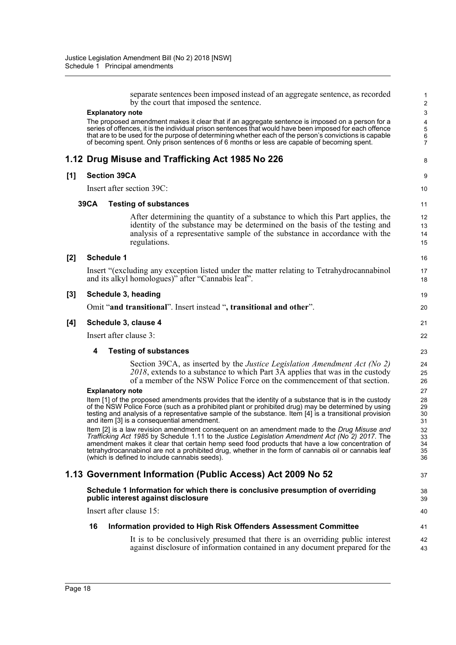|       | separate sentences been imposed instead of an aggregate sentence, as recorded<br>by the court that imposed the sentence.                                                                               | $\mathbf{1}$<br>$\overline{2}$ |
|-------|--------------------------------------------------------------------------------------------------------------------------------------------------------------------------------------------------------|--------------------------------|
|       | <b>Explanatory note</b>                                                                                                                                                                                | 3                              |
|       | The proposed amendment makes it clear that if an aggregate sentence is imposed on a person for a                                                                                                       | 4                              |
|       | series of offences, it is the individual prison sentences that would have been imposed for each offence                                                                                                | 5                              |
|       | that are to be used for the purpose of determining whether each of the person's convictions is capable<br>of becoming spent. Only prison sentences of 6 months or less are capable of becoming spent.  | $\,6$<br>$\overline{7}$        |
|       | 1.12 Drug Misuse and Trafficking Act 1985 No 226                                                                                                                                                       | 8                              |
| [1]   | <b>Section 39CA</b>                                                                                                                                                                                    | 9                              |
|       | Insert after section 39C:                                                                                                                                                                              | 10                             |
|       | <b>39CA</b><br><b>Testing of substances</b>                                                                                                                                                            | 11                             |
|       | After determining the quantity of a substance to which this Part applies, the                                                                                                                          | 12                             |
|       | identity of the substance may be determined on the basis of the testing and                                                                                                                            | 13                             |
|       | analysis of a representative sample of the substance in accordance with the                                                                                                                            | 14                             |
|       | regulations.                                                                                                                                                                                           | 15                             |
| $[2]$ | <b>Schedule 1</b>                                                                                                                                                                                      | 16                             |
|       | Insert "(excluding any exception listed under the matter relating to Tetrahydrocannabinol                                                                                                              | 17                             |
|       | and its alkyl homologues)" after "Cannabis leaf".                                                                                                                                                      | 18                             |
| $[3]$ | Schedule 3, heading                                                                                                                                                                                    | 19                             |
|       | Omit "and transitional". Insert instead ", transitional and other".                                                                                                                                    | 20                             |
| [4]   | Schedule 3, clause 4                                                                                                                                                                                   | 21                             |
|       | Insert after clause 3:                                                                                                                                                                                 | 22                             |
|       | 4<br><b>Testing of substances</b>                                                                                                                                                                      | 23                             |
|       | Section 39CA, as inserted by the Justice Legislation Amendment Act (No 2)                                                                                                                              | 24                             |
|       | 2018, extends to a substance to which Part 3A applies that was in the custody<br>of a member of the NSW Police Force on the commencement of that section.                                              | 25<br>26                       |
|       | <b>Explanatory note</b>                                                                                                                                                                                | 27                             |
|       | Item [1] of the proposed amendments provides that the identity of a substance that is in the custody                                                                                                   | 28                             |
|       | of the NSW Police Force (such as a prohibited plant or prohibited drug) may be determined by using                                                                                                     | 29                             |
|       | testing and analysis of a representative sample of the substance. Item [4] is a transitional provision<br>and item [3] is a consequential amendment.                                                   | 30<br>31                       |
|       | Item [2] is a law revision amendment consequent on an amendment made to the Drug Misuse and                                                                                                            | 32                             |
|       | Trafficking Act 1985 by Schedule 1.11 to the Justice Legislation Amendment Act (No 2) 2017. The                                                                                                        | 33                             |
|       | amendment makes it clear that certain hemp seed food products that have a low concentration of<br>tetrahydrocannabinol are not a prohibited drug, whether in the form of cannabis oil or cannabis leaf | 34<br>35                       |
|       | (which is defined to include cannabis seeds).                                                                                                                                                          | 36                             |
|       | 1.13 Government Information (Public Access) Act 2009 No 52                                                                                                                                             | 37                             |
|       | Schedule 1 Information for which there is conclusive presumption of overriding<br>public interest against disclosure                                                                                   | 38<br>39                       |
|       | Insert after clause 15:                                                                                                                                                                                | 40                             |
|       | 16<br>Information provided to High Risk Offenders Assessment Committee                                                                                                                                 | 41                             |
|       | It is to be conclusively presumed that there is an overriding public interest                                                                                                                          | 42                             |
|       | against disclosure of information contained in any document prepared for the                                                                                                                           | 43                             |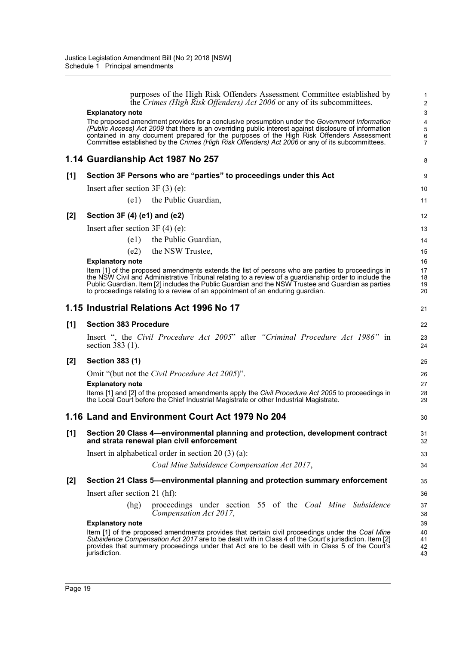|       | purposes of the High Risk Offenders Assessment Committee established by<br>the Crimes (High Risk Offenders) Act 2006 or any of its subcommittees.                                                                                                                                                                             | 1<br>$\overline{2}$  |
|-------|-------------------------------------------------------------------------------------------------------------------------------------------------------------------------------------------------------------------------------------------------------------------------------------------------------------------------------|----------------------|
|       | <b>Explanatory note</b>                                                                                                                                                                                                                                                                                                       | $\mathbf{3}$         |
|       | The proposed amendment provides for a conclusive presumption under the Government Information                                                                                                                                                                                                                                 | 4                    |
|       | (Public Access) Act 2009 that there is an overriding public interest against disclosure of information<br>contained in any document prepared for the purposes of the High Risk Offenders Assessment                                                                                                                           | 5<br>6               |
|       | Committee established by the Crimes (High Risk Offenders) Act 2006 or any of its subcommittees.                                                                                                                                                                                                                               | $\overline{7}$       |
|       | 1.14 Guardianship Act 1987 No 257                                                                                                                                                                                                                                                                                             | 8                    |
| [1]   | Section 3F Persons who are "parties" to proceedings under this Act                                                                                                                                                                                                                                                            | 9                    |
|       | Insert after section $3F(3)$ (e):                                                                                                                                                                                                                                                                                             | 10                   |
|       | (e1) the Public Guardian,                                                                                                                                                                                                                                                                                                     | 11                   |
| $[2]$ | Section 3F (4) (e1) and (e2)                                                                                                                                                                                                                                                                                                  | 12                   |
|       | Insert after section $3F(4)$ (e):                                                                                                                                                                                                                                                                                             | 13                   |
|       | the Public Guardian,<br>(e1)                                                                                                                                                                                                                                                                                                  | 14                   |
|       | the NSW Trustee,<br>(e2)                                                                                                                                                                                                                                                                                                      | 15                   |
|       | <b>Explanatory note</b>                                                                                                                                                                                                                                                                                                       | 16                   |
|       | Item [1] of the proposed amendments extends the list of persons who are parties to proceedings in                                                                                                                                                                                                                             | 17                   |
|       | the NSW Civil and Administrative Tribunal relating to a review of a guardianship order to include the<br>Public Guardian. Item [2] includes the Public Guardian and the NSW Trustee and Guardian as parties                                                                                                                   | 18<br>19             |
|       | to proceedings relating to a review of an appointment of an enduring guardian.                                                                                                                                                                                                                                                | 20                   |
|       | 1.15 Industrial Relations Act 1996 No 17                                                                                                                                                                                                                                                                                      | 21                   |
| [1]   | <b>Section 383 Procedure</b>                                                                                                                                                                                                                                                                                                  | 22                   |
|       | Insert ", the Civil Procedure Act 2005" after "Criminal Procedure Act 1986" in<br>section 383 (1).                                                                                                                                                                                                                            | 23<br>24             |
| $[2]$ | <b>Section 383 (1)</b>                                                                                                                                                                                                                                                                                                        | 25                   |
|       | Omit "(but not the Civil Procedure Act 2005)".                                                                                                                                                                                                                                                                                | 26                   |
|       | <b>Explanatory note</b>                                                                                                                                                                                                                                                                                                       | 27                   |
|       | Items [1] and [2] of the proposed amendments apply the Civil Procedure Act 2005 to proceedings in<br>the Local Court before the Chief Industrial Magistrate or other Industrial Magistrate.                                                                                                                                   | 28<br>29             |
|       | 1.16 Land and Environment Court Act 1979 No 204                                                                                                                                                                                                                                                                               | 30                   |
| [1]   | Section 20 Class 4-environmental planning and protection, development contract<br>and strata renewal plan civil enforcement                                                                                                                                                                                                   | 31<br>32             |
|       | Insert in alphabetical order in section $20(3)(a)$ :                                                                                                                                                                                                                                                                          | 33                   |
|       | Coal Mine Subsidence Compensation Act 2017,                                                                                                                                                                                                                                                                                   | 34                   |
| $[2]$ | Section 21 Class 5—environmental planning and protection summary enforcement                                                                                                                                                                                                                                                  | 35                   |
|       | Insert after section 21 (hf):                                                                                                                                                                                                                                                                                                 | 36                   |
|       | proceedings under section 55 of the Coal Mine Subsidence<br>(hg)<br>Compensation Act 2017,                                                                                                                                                                                                                                    | 37<br>38             |
|       | <b>Explanatory note</b>                                                                                                                                                                                                                                                                                                       | 39                   |
|       | Item [1] of the proposed amendments provides that certain civil proceedings under the Coal Mine<br>Subsidence Compensation Act 2017 are to be dealt with in Class 4 of the Court's jurisdiction. Item [2]<br>provides that summary proceedings under that Act are to be dealt with in Class 5 of the Court's<br>jurisdiction. | 40<br>41<br>42<br>43 |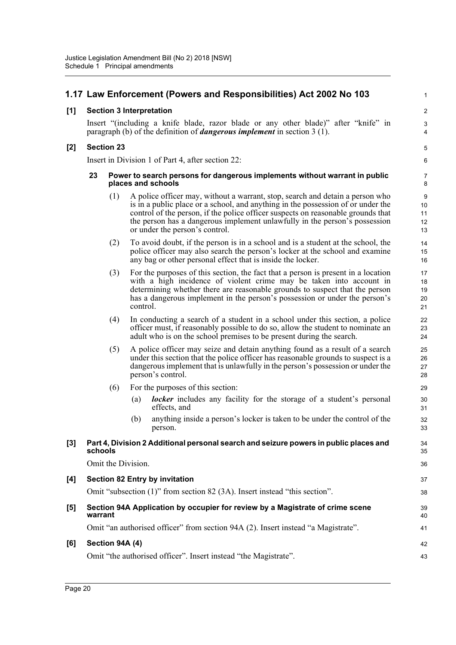|       |                 |                   | 1.17 Law Enforcement (Powers and Responsibilities) Act 2002 No 103                                                                                                                                                                                                                                                                                                    | 1                          |  |
|-------|-----------------|-------------------|-----------------------------------------------------------------------------------------------------------------------------------------------------------------------------------------------------------------------------------------------------------------------------------------------------------------------------------------------------------------------|----------------------------|--|
| $[1]$ |                 |                   | <b>Section 3 Interpretation</b>                                                                                                                                                                                                                                                                                                                                       | $\overline{2}$             |  |
|       |                 |                   | Insert "(including a knife blade, razor blade or any other blade)" after "knife" in<br>paragraph (b) of the definition of <i>dangerous implement</i> in section $3(1)$ .                                                                                                                                                                                              | $\sqrt{3}$<br>4            |  |
| $[2]$ |                 | <b>Section 23</b> |                                                                                                                                                                                                                                                                                                                                                                       | $\mathbf 5$                |  |
|       |                 |                   | Insert in Division 1 of Part 4, after section 22:                                                                                                                                                                                                                                                                                                                     | 6                          |  |
|       | 23              |                   | Power to search persons for dangerous implements without warrant in public<br>places and schools                                                                                                                                                                                                                                                                      | 7<br>8                     |  |
|       |                 | (1)               | A police officer may, without a warrant, stop, search and detain a person who<br>is in a public place or a school, and anything in the possession of or under the<br>control of the person, if the police officer suspects on reasonable grounds that<br>the person has a dangerous implement unlawfully in the person's possession<br>or under the person's control. | 9<br>10<br>11<br>12<br>13  |  |
|       |                 | (2)               | To avoid doubt, if the person is in a school and is a student at the school, the<br>police officer may also search the person's locker at the school and examine<br>any bag or other personal effect that is inside the locker.                                                                                                                                       | 14<br>15<br>16             |  |
|       |                 | (3)               | For the purposes of this section, the fact that a person is present in a location<br>with a high incidence of violent crime may be taken into account in<br>determining whether there are reasonable grounds to suspect that the person<br>has a dangerous implement in the person's possession or under the person's<br>control.                                     | 17<br>18<br>19<br>20<br>21 |  |
|       |                 | (4)               | In conducting a search of a student in a school under this section, a police<br>officer must, if reasonably possible to do so, allow the student to nominate an<br>adult who is on the school premises to be present during the search.                                                                                                                               | 22<br>23<br>24             |  |
|       |                 | (5)               | A police officer may seize and detain anything found as a result of a search<br>under this section that the police officer has reasonable grounds to suspect is a<br>dangerous implement that is unlawfully in the person's possession or under the<br>person's control.                                                                                              | 25<br>26<br>27<br>28       |  |
|       |                 | (6)               | For the purposes of this section:                                                                                                                                                                                                                                                                                                                                     | 29                         |  |
|       |                 |                   | <b>locker</b> includes any facility for the storage of a student's personal<br>(a)<br>effects, and                                                                                                                                                                                                                                                                    | 30<br>31                   |  |
|       |                 |                   | anything inside a person's locker is taken to be under the control of the<br>(b)<br>person.                                                                                                                                                                                                                                                                           | 32<br>33                   |  |
| $[3]$ | schools         |                   | Part 4, Division 2 Additional personal search and seizure powers in public places and                                                                                                                                                                                                                                                                                 | 34<br>35                   |  |
|       |                 |                   | Omit the Division.                                                                                                                                                                                                                                                                                                                                                    | 36                         |  |
| [4]   |                 |                   | <b>Section 82 Entry by invitation</b>                                                                                                                                                                                                                                                                                                                                 | 37                         |  |
|       |                 |                   | Omit "subsection (1)" from section 82 (3A). Insert instead "this section".                                                                                                                                                                                                                                                                                            | 38                         |  |
| $[5]$ | warrant         |                   | Section 94A Application by occupier for review by a Magistrate of crime scene                                                                                                                                                                                                                                                                                         | 39<br>40                   |  |
|       |                 |                   | Omit "an authorised officer" from section 94A (2). Insert instead "a Magistrate".                                                                                                                                                                                                                                                                                     | 41                         |  |
| [6]   | Section 94A (4) |                   |                                                                                                                                                                                                                                                                                                                                                                       |                            |  |
|       |                 |                   | Omit "the authorised officer". Insert instead "the Magistrate".                                                                                                                                                                                                                                                                                                       | 43                         |  |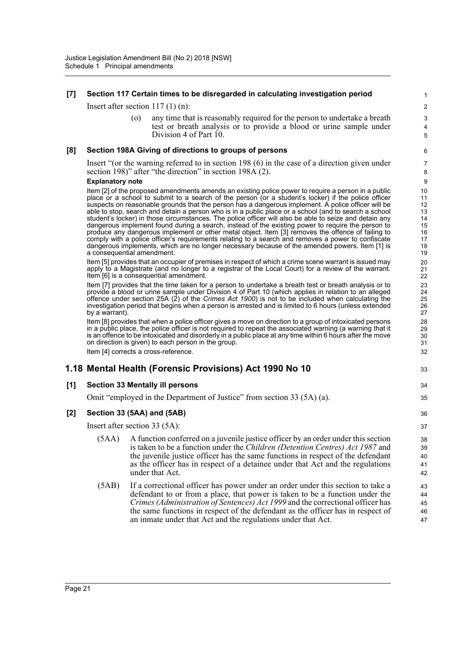# **[7] Section 117 Certain times to be disregarded in calculating investigation period**

Insert after section 117 (1) (n):

(o) any time that is reasonably required for the person to undertake a breath test or breath analysis or to provide a blood or urine sample under Division 4 of Part 10.

33

34 35

### **[8] Section 198A Giving of directions to groups of persons**

Insert "(or the warning referred to in section 198 (6) in the case of a direction given under section 198)" after "the direction" in section 198A (2).

#### **Explanatory note**

Item [2] of the proposed amendments amends an existing police power to require a person in a public place or a school to submit to a search of the person (or a student's locker) if the police officer suspects on reasonable grounds that the person has a dangerous implement. A police officer will be able to stop, search and detain a person who is in a public place or a school (and to search a school student's locker) in those circumstances. The police officer will also be able to seize and detain any dangerous implement found during a search, instead of the existing power to require the person to produce any dangerous implement or other metal object. Item [3] removes the offence of failing to comply with a police officer's requirements relating to a search and removes a power to confiscate dangerous implements, which are no longer necessary because of the amended powers. Item [1] is a consequential amendment.

Item [5] provides that an occupier of premises in respect of which a crime scene warrant is issued may apply to a Magistrate (and no longer to a registrar of the Local Court) for a review of the warrant. Item [6] is a consequential amendment.

Item [7] provides that the time taken for a person to undertake a breath test or breath analysis or to provide a blood or urine sample under Division 4 of Part 10 (which applies in relation to an alleged offence under section 25A (2) of the *Crimes Act 1900*) is not to be included when calculating the investigation period that begins when a person is arrested and is limited to 6 hours (unless extended by a warrant).

Item [8] provides that when a police officer gives a move on direction to a group of intoxicated persons in a public place, the police officer is not required to repeat the associated warning (a warning that it is an offence to be intoxicated and disorderly in a public place at any time within 6 hours after the move on direction is given) to each person in the group.

Item [4] corrects a cross-reference.

# **1.18 Mental Health (Forensic Provisions) Act 1990 No 10**

# **[1] Section 33 Mentally ill persons**

Omit "employed in the Department of Justice" from section 33 (5A) (a).

# **[2] Section 33 (5AA) and (5AB)**

Insert after section 33 (5A):

- (5AA) A function conferred on a juvenile justice officer by an order under this section is taken to be a function under the *Children (Detention Centres) Act 1987* and the juvenile justice officer has the same functions in respect of the defendant as the officer has in respect of a detainee under that Act and the regulations under that Act.
- (5AB) If a correctional officer has power under an order under this section to take a defendant to or from a place, that power is taken to be a function under the *Crimes (Administration of Sentences) Act 1999* and the correctional officer has the same functions in respect of the defendant as the officer has in respect of an inmate under that Act and the regulations under that Act. 43 44 45 46 47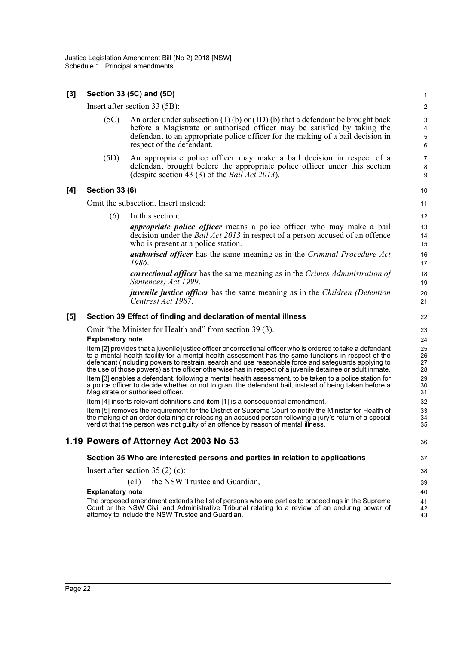### **[3] Section 33 (5C) and (5D)**

Insert after section 33 (5B):

(5C) An order under subsection (1) (b) or (1D) (b) that a defendant be brought back before a Magistrate or authorised officer may be satisfied by taking the defendant to an appropriate police officer for the making of a bail decision in respect of the defendant.

(5D) An appropriate police officer may make a bail decision in respect of a defendant brought before the appropriate police officer under this section (despite section 43 (3) of the *Bail Act 2013*).

### **[4] Section 33 (6)**

Omit the subsection. Insert instead:

(6) In this section:

*appropriate police officer* means a police officer who may make a bail decision under the *Bail Act 2013* in respect of a person accused of an offence who is present at a police station.

*authorised officer* has the same meaning as in the *Criminal Procedure Act 1986*.

*correctional officer* has the same meaning as in the *Crimes Administration of Sentences) Act 1999*.

*juvenile justice officer* has the same meaning as in the *Children (Detention Centres) Act 1987*.

#### **[5] Section 39 Effect of finding and declaration of mental illness**

Omit "the Minister for Health and" from section 39 (3).

#### **Explanatory note**

Item [2] provides that a juvenile justice officer or correctional officer who is ordered to take a defendant to a mental health facility for a mental health assessment has the same functions in respect of the defendant (including powers to restrain, search and use reasonable force and safeguards applying to the use of those powers) as the officer otherwise has in respect of a juvenile detainee or adult inmate. Item [3] enables a defendant, following a mental health assessment, to be taken to a police station for a police officer to decide whether or not to grant the defendant bail, instead of being taken before a Magistrate or authorised officer.

Item [4] inserts relevant definitions and item [1] is a consequential amendment.

Item [5] removes the requirement for the District or Supreme Court to notify the Minister for Health of the making of an order detaining or releasing an accused person following a jury's return of a special verdict that the person was not guilty of an offence by reason of mental illness.

# **1.19 Powers of Attorney Act 2003 No 53**

#### **Section 35 Who are interested persons and parties in relation to applications**

Insert after section 35 (2) (c):

(c1) the NSW Trustee and Guardian,

#### **Explanatory note**

The proposed amendment extends the list of persons who are parties to proceedings in the Supreme Court or the NSW Civil and Administrative Tribunal relating to a review of an enduring power of attorney to include the NSW Trustee and Guardian.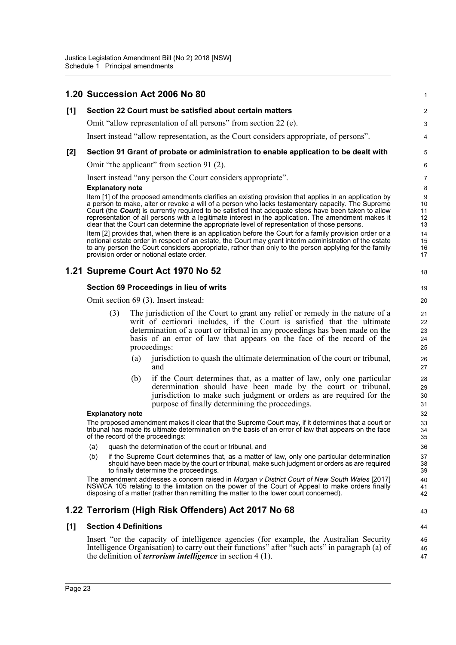|       |                              |     | 1.20 Succession Act 2006 No 80                                                                                                                                                                                                                                                                                                                                                                                                                                                                                            | 1                              |
|-------|------------------------------|-----|---------------------------------------------------------------------------------------------------------------------------------------------------------------------------------------------------------------------------------------------------------------------------------------------------------------------------------------------------------------------------------------------------------------------------------------------------------------------------------------------------------------------------|--------------------------------|
| [1]   |                              |     | Section 22 Court must be satisfied about certain matters                                                                                                                                                                                                                                                                                                                                                                                                                                                                  | $\overline{2}$                 |
|       |                              |     | Omit "allow representation of all persons" from section 22 (e).                                                                                                                                                                                                                                                                                                                                                                                                                                                           | 3                              |
|       |                              |     | Insert instead "allow representation, as the Court considers appropriate, of persons".                                                                                                                                                                                                                                                                                                                                                                                                                                    | 4                              |
| $[2]$ |                              |     | Section 91 Grant of probate or administration to enable application to be dealt with                                                                                                                                                                                                                                                                                                                                                                                                                                      | 5                              |
|       |                              |     | Omit "the applicant" from section 91 (2).                                                                                                                                                                                                                                                                                                                                                                                                                                                                                 | 6                              |
|       |                              |     | Insert instead "any person the Court considers appropriate".                                                                                                                                                                                                                                                                                                                                                                                                                                                              | 7                              |
|       | <b>Explanatory note</b>      |     | Item [1] of the proposed amendments clarifies an existing provision that applies in an application by<br>a person to make, alter or revoke a will of a person who lacks testamentary capacity. The Supreme<br>Court (the Court) is currently required to be satisfied that adequate steps have been taken to allow<br>representation of all persons with a legitimate interest in the application. The amendment makes it<br>clear that the Court can determine the appropriate level of representation of those persons. | 8<br>9<br>10<br>11<br>12<br>13 |
|       |                              |     | Item [2] provides that, when there is an application before the Court for a family provision order or a<br>notional estate order in respect of an estate, the Court may grant interim administration of the estate<br>to any person the Court considers appropriate, rather than only to the person applying for the family<br>provision order or notional estate order.                                                                                                                                                  | 14<br>15<br>16<br>17           |
|       |                              |     | 1.21 Supreme Court Act 1970 No 52                                                                                                                                                                                                                                                                                                                                                                                                                                                                                         | 18                             |
|       |                              |     | <b>Section 69 Proceedings in lieu of writs</b>                                                                                                                                                                                                                                                                                                                                                                                                                                                                            | 19                             |
|       |                              |     | Omit section 69 (3). Insert instead:                                                                                                                                                                                                                                                                                                                                                                                                                                                                                      | 20                             |
|       | (3)                          |     | The jurisdiction of the Court to grant any relief or remedy in the nature of a<br>writ of certiorari includes, if the Court is satisfied that the ultimate<br>determination of a court or tribunal in any proceedings has been made on the<br>basis of an error of law that appears on the face of the record of the<br>proceedings:                                                                                                                                                                                      | 21<br>22<br>23<br>24<br>25     |
|       |                              | (a) | jurisdiction to quash the ultimate determination of the court or tribunal,<br>and                                                                                                                                                                                                                                                                                                                                                                                                                                         | 26<br>27                       |
|       |                              | (b) | if the Court determines that, as a matter of law, only one particular<br>determination should have been made by the court or tribunal,<br>jurisdiction to make such judgment or orders as are required for the<br>purpose of finally determining the proceedings.                                                                                                                                                                                                                                                         | 28<br>29<br>30<br>31           |
|       | <b>Explanatory note</b>      |     |                                                                                                                                                                                                                                                                                                                                                                                                                                                                                                                           | 32                             |
|       |                              |     | The proposed amendment makes it clear that the Supreme Court may, if it determines that a court or<br>tribunal has made its ultimate determination on the basis of an error of law that appears on the face<br>of the record of the proceedings:                                                                                                                                                                                                                                                                          | 33<br>34<br>35                 |
|       | (a)                          |     | quash the determination of the court or tribunal, and                                                                                                                                                                                                                                                                                                                                                                                                                                                                     | 36                             |
|       | (b)                          |     | if the Supreme Court determines that, as a matter of law, only one particular determination<br>should have been made by the court or tribunal, make such judgment or orders as are required<br>to finally determine the proceedings.                                                                                                                                                                                                                                                                                      | 37<br>38<br>39                 |
|       |                              |     | The amendment addresses a concern raised in Morgan v District Court of New South Wales [2017]<br>NSWCA 105 relating to the limitation on the power of the Court of Appeal to make orders finally<br>disposing of a matter (rather than remitting the matter to the lower court concerned).                                                                                                                                                                                                                                | 40<br>41<br>42                 |
|       |                              |     | 1.22 Terrorism (High Risk Offenders) Act 2017 No 68                                                                                                                                                                                                                                                                                                                                                                                                                                                                       | 43                             |
| [1]   | <b>Section 4 Definitions</b> |     |                                                                                                                                                                                                                                                                                                                                                                                                                                                                                                                           | 44                             |
|       |                              |     | Insert "or the capacity of intelligence agencies (for example, the Australian Security<br>Intelligence Organisation) to carry out their functions" after "such acts" in paragraph (a) of<br>the definition of <i>terrorism intelligence</i> in section $4(1)$ .                                                                                                                                                                                                                                                           | 45<br>46<br>47                 |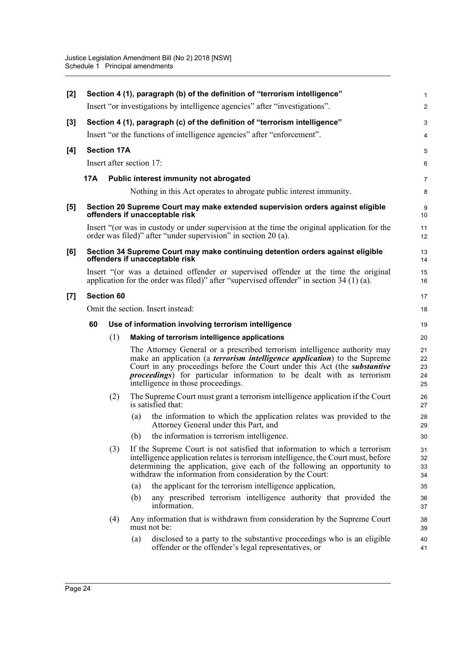|     |     |                                                                                                                                                                                                                                                                                                                                                                           | $\mathbf{1}$                                                                                                                                                                                                                                                                                                                                                                                                                                                                                                                                                                                                                                                                                                                                                                                                                                                                                                                                                                                                                                                                                            |
|-----|-----|---------------------------------------------------------------------------------------------------------------------------------------------------------------------------------------------------------------------------------------------------------------------------------------------------------------------------------------------------------------------------|---------------------------------------------------------------------------------------------------------------------------------------------------------------------------------------------------------------------------------------------------------------------------------------------------------------------------------------------------------------------------------------------------------------------------------------------------------------------------------------------------------------------------------------------------------------------------------------------------------------------------------------------------------------------------------------------------------------------------------------------------------------------------------------------------------------------------------------------------------------------------------------------------------------------------------------------------------------------------------------------------------------------------------------------------------------------------------------------------------|
|     |     |                                                                                                                                                                                                                                                                                                                                                                           | $\overline{2}$                                                                                                                                                                                                                                                                                                                                                                                                                                                                                                                                                                                                                                                                                                                                                                                                                                                                                                                                                                                                                                                                                          |
|     |     |                                                                                                                                                                                                                                                                                                                                                                           | $\ensuremath{\mathsf{3}}$                                                                                                                                                                                                                                                                                                                                                                                                                                                                                                                                                                                                                                                                                                                                                                                                                                                                                                                                                                                                                                                                               |
|     |     |                                                                                                                                                                                                                                                                                                                                                                           | 4                                                                                                                                                                                                                                                                                                                                                                                                                                                                                                                                                                                                                                                                                                                                                                                                                                                                                                                                                                                                                                                                                                       |
|     |     |                                                                                                                                                                                                                                                                                                                                                                           | 5                                                                                                                                                                                                                                                                                                                                                                                                                                                                                                                                                                                                                                                                                                                                                                                                                                                                                                                                                                                                                                                                                                       |
|     |     |                                                                                                                                                                                                                                                                                                                                                                           | 6                                                                                                                                                                                                                                                                                                                                                                                                                                                                                                                                                                                                                                                                                                                                                                                                                                                                                                                                                                                                                                                                                                       |
| 17A |     |                                                                                                                                                                                                                                                                                                                                                                           | $\overline{7}$                                                                                                                                                                                                                                                                                                                                                                                                                                                                                                                                                                                                                                                                                                                                                                                                                                                                                                                                                                                                                                                                                          |
|     |     | Nothing in this Act operates to abrogate public interest immunity.                                                                                                                                                                                                                                                                                                        | 8                                                                                                                                                                                                                                                                                                                                                                                                                                                                                                                                                                                                                                                                                                                                                                                                                                                                                                                                                                                                                                                                                                       |
|     |     |                                                                                                                                                                                                                                                                                                                                                                           | 9<br>10                                                                                                                                                                                                                                                                                                                                                                                                                                                                                                                                                                                                                                                                                                                                                                                                                                                                                                                                                                                                                                                                                                 |
|     |     |                                                                                                                                                                                                                                                                                                                                                                           | 11<br>12                                                                                                                                                                                                                                                                                                                                                                                                                                                                                                                                                                                                                                                                                                                                                                                                                                                                                                                                                                                                                                                                                                |
|     |     |                                                                                                                                                                                                                                                                                                                                                                           | 13<br>14                                                                                                                                                                                                                                                                                                                                                                                                                                                                                                                                                                                                                                                                                                                                                                                                                                                                                                                                                                                                                                                                                                |
|     |     |                                                                                                                                                                                                                                                                                                                                                                           | 15<br>16                                                                                                                                                                                                                                                                                                                                                                                                                                                                                                                                                                                                                                                                                                                                                                                                                                                                                                                                                                                                                                                                                                |
|     |     |                                                                                                                                                                                                                                                                                                                                                                           | 17                                                                                                                                                                                                                                                                                                                                                                                                                                                                                                                                                                                                                                                                                                                                                                                                                                                                                                                                                                                                                                                                                                      |
|     |     |                                                                                                                                                                                                                                                                                                                                                                           | 18                                                                                                                                                                                                                                                                                                                                                                                                                                                                                                                                                                                                                                                                                                                                                                                                                                                                                                                                                                                                                                                                                                      |
| 60  |     |                                                                                                                                                                                                                                                                                                                                                                           | 19                                                                                                                                                                                                                                                                                                                                                                                                                                                                                                                                                                                                                                                                                                                                                                                                                                                                                                                                                                                                                                                                                                      |
|     | (1) | Making of terrorism intelligence applications                                                                                                                                                                                                                                                                                                                             | 20                                                                                                                                                                                                                                                                                                                                                                                                                                                                                                                                                                                                                                                                                                                                                                                                                                                                                                                                                                                                                                                                                                      |
|     |     | The Attorney General or a prescribed terrorism intelligence authority may<br>make an application (a <i>terrorism intelligence application</i> ) to the Supreme<br>Court in any proceedings before the Court under this Act (the <i>substantive</i><br><i>proceedings</i> ) for particular information to be dealt with as terrorism<br>intelligence in those proceedings. | 21<br>22<br>23<br>24<br>25                                                                                                                                                                                                                                                                                                                                                                                                                                                                                                                                                                                                                                                                                                                                                                                                                                                                                                                                                                                                                                                                              |
|     | (2) | The Supreme Court must grant a terrorism intelligence application if the Court<br>is satisfied that:                                                                                                                                                                                                                                                                      | 26<br>27                                                                                                                                                                                                                                                                                                                                                                                                                                                                                                                                                                                                                                                                                                                                                                                                                                                                                                                                                                                                                                                                                                |
|     |     | the information to which the application relates was provided to the<br>(a)<br>Attorney General under this Part, and                                                                                                                                                                                                                                                      | 28<br>29                                                                                                                                                                                                                                                                                                                                                                                                                                                                                                                                                                                                                                                                                                                                                                                                                                                                                                                                                                                                                                                                                                |
|     |     | the information is terrorism intelligence.<br>(b)                                                                                                                                                                                                                                                                                                                         | 30                                                                                                                                                                                                                                                                                                                                                                                                                                                                                                                                                                                                                                                                                                                                                                                                                                                                                                                                                                                                                                                                                                      |
|     | (3) | If the Supreme Court is not satisfied that information to which a terrorism<br>intelligence application relates is terrorism intelligence, the Court must, before<br>determining the application, give each of the following an opportunity to<br>withdraw the information from consideration by the Court:                                                               | 31<br>32<br>33<br>34                                                                                                                                                                                                                                                                                                                                                                                                                                                                                                                                                                                                                                                                                                                                                                                                                                                                                                                                                                                                                                                                                    |
|     |     | the applicant for the terrorism intelligence application,<br>(a)                                                                                                                                                                                                                                                                                                          | 35                                                                                                                                                                                                                                                                                                                                                                                                                                                                                                                                                                                                                                                                                                                                                                                                                                                                                                                                                                                                                                                                                                      |
|     |     | any prescribed terrorism intelligence authority that provided the<br>(b)<br>information.                                                                                                                                                                                                                                                                                  | 36<br>37                                                                                                                                                                                                                                                                                                                                                                                                                                                                                                                                                                                                                                                                                                                                                                                                                                                                                                                                                                                                                                                                                                |
|     | (4) | Any information that is withdrawn from consideration by the Supreme Court<br>must not be:                                                                                                                                                                                                                                                                                 | 38<br>39                                                                                                                                                                                                                                                                                                                                                                                                                                                                                                                                                                                                                                                                                                                                                                                                                                                                                                                                                                                                                                                                                                |
|     |     | disclosed to a party to the substantive proceedings who is an eligible<br>(a)<br>offender or the offender's legal representatives, or                                                                                                                                                                                                                                     | 40<br>41                                                                                                                                                                                                                                                                                                                                                                                                                                                                                                                                                                                                                                                                                                                                                                                                                                                                                                                                                                                                                                                                                                |
|     |     | <b>Section 60</b>                                                                                                                                                                                                                                                                                                                                                         | Section 4 (1), paragraph (b) of the definition of "terrorism intelligence"<br>Insert "or investigations by intelligence agencies" after "investigations".<br>Section 4 (1), paragraph (c) of the definition of "terrorism intelligence"<br>Insert "or the functions of intelligence agencies" after "enforcement".<br><b>Section 17A</b><br>Insert after section 17:<br>Public interest immunity not abrogated<br>Section 20 Supreme Court may make extended supervision orders against eligible<br>offenders if unacceptable risk<br>Insert "(or was in custody or under supervision at the time the original application for the<br>order was filed)" after "under supervision" in section 20 (a).<br>Section 34 Supreme Court may make continuing detention orders against eligible<br>offenders if unacceptable risk<br>Insert "(or was a detained offender or supervised offender at the time the original<br>application for the order was filed)" after "supervised offender" in section 34 (1) (a).<br>Omit the section. Insert instead:<br>Use of information involving terrorism intelligence |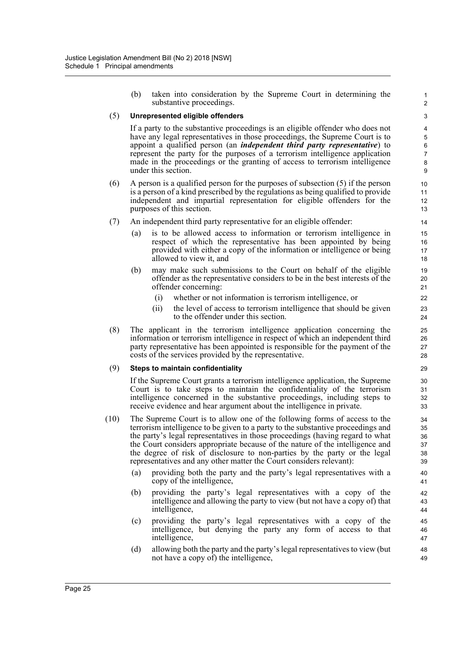(b) taken into consideration by the Supreme Court in determining the substantive proceedings.

### (5) **Unrepresented eligible offenders**

If a party to the substantive proceedings is an eligible offender who does not have any legal representatives in those proceedings, the Supreme Court is to appoint a qualified person (an *independent third party representative*) to represent the party for the purposes of a terrorism intelligence application made in the proceedings or the granting of access to terrorism intelligence under this section.

- (6) A person is a qualified person for the purposes of subsection (5) if the person is a person of a kind prescribed by the regulations as being qualified to provide independent and impartial representation for eligible offenders for the purposes of this section.
- (7) An independent third party representative for an eligible offender:
	- (a) is to be allowed access to information or terrorism intelligence in respect of which the representative has been appointed by being provided with either a copy of the information or intelligence or being allowed to view it, and
	- (b) may make such submissions to the Court on behalf of the eligible offender as the representative considers to be in the best interests of the offender concerning:
		- (i) whether or not information is terrorism intelligence, or
		- (ii) the level of access to terrorism intelligence that should be given to the offender under this section.
- (8) The applicant in the terrorism intelligence application concerning the information or terrorism intelligence in respect of which an independent third party representative has been appointed is responsible for the payment of the costs of the services provided by the representative.

#### (9) **Steps to maintain confidentiality**

If the Supreme Court grants a terrorism intelligence application, the Supreme Court is to take steps to maintain the confidentiality of the terrorism intelligence concerned in the substantive proceedings, including steps to receive evidence and hear argument about the intelligence in private.

- (10) The Supreme Court is to allow one of the following forms of access to the terrorism intelligence to be given to a party to the substantive proceedings and the party's legal representatives in those proceedings (having regard to what the Court considers appropriate because of the nature of the intelligence and the degree of risk of disclosure to non-parties by the party or the legal representatives and any other matter the Court considers relevant):
	- (a) providing both the party and the party's legal representatives with a copy of the intelligence,
	- (b) providing the party's legal representatives with a copy of the intelligence and allowing the party to view (but not have a copy of) that intelligence,
	- (c) providing the party's legal representatives with a copy of the intelligence, but denying the party any form of access to that intelligence,
	- (d) allowing both the party and the party's legal representatives to view (but not have a copy of) the intelligence,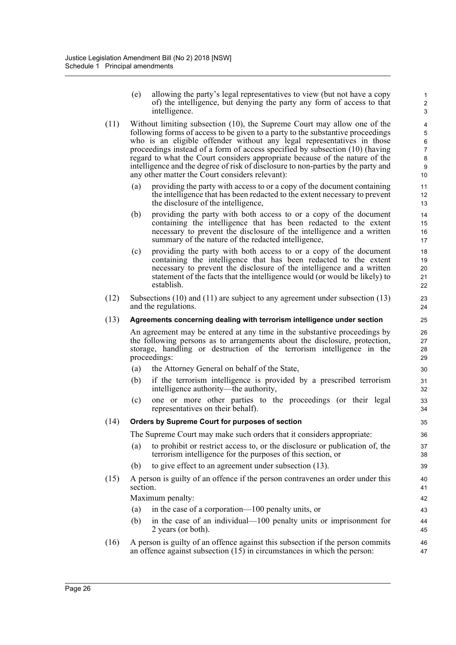(e) allowing the party's legal representatives to view (but not have a copy of) the intelligence, but denying the party any form of access to that intelligence.

- (11) Without limiting subsection (10), the Supreme Court may allow one of the following forms of access to be given to a party to the substantive proceedings who is an eligible offender without any legal representatives in those proceedings instead of a form of access specified by subsection (10) (having regard to what the Court considers appropriate because of the nature of the intelligence and the degree of risk of disclosure to non-parties by the party and any other matter the Court considers relevant):
	- (a) providing the party with access to or a copy of the document containing the intelligence that has been redacted to the extent necessary to prevent the disclosure of the intelligence,
	- (b) providing the party with both access to or a copy of the document containing the intelligence that has been redacted to the extent necessary to prevent the disclosure of the intelligence and a written summary of the nature of the redacted intelligence,
	- (c) providing the party with both access to or a copy of the document containing the intelligence that has been redacted to the extent necessary to prevent the disclosure of the intelligence and a written statement of the facts that the intelligence would (or would be likely) to establish.
- (12) Subsections (10) and (11) are subject to any agreement under subsection (13) and the regulations.

# (13) **Agreements concerning dealing with terrorism intelligence under section**

An agreement may be entered at any time in the substantive proceedings by the following persons as to arrangements about the disclosure, protection, storage, handling or destruction of the terrorism intelligence in the proceedings:

- (a) the Attorney General on behalf of the State,
- (b) if the terrorism intelligence is provided by a prescribed terrorism intelligence authority—the authority,
- (c) one or more other parties to the proceedings (or their legal representatives on their behalf).

# (14) **Orders by Supreme Court for purposes of section**

The Supreme Court may make such orders that it considers appropriate:

- (a) to prohibit or restrict access to, or the disclosure or publication of, the terrorism intelligence for the purposes of this section, or
- (b) to give effect to an agreement under subsection (13).
- (15) A person is guilty of an offence if the person contravenes an order under this section.

Maximum penalty:

- (a) in the case of a corporation—100 penalty units, or
- (b) in the case of an individual—100 penalty units or imprisonment for 2 years (or both).
- (16) A person is guilty of an offence against this subsection if the person commits an offence against subsection (15) in circumstances in which the person: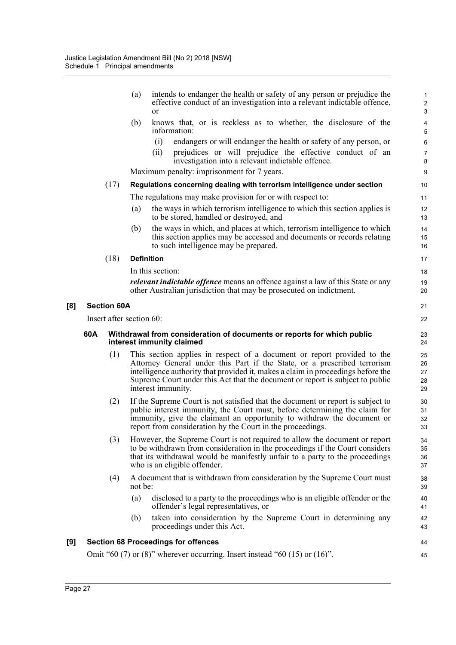|     |     |                    | intends to endanger the health or safety of any person or prejudice the<br>(a)<br>effective conduct of an investigation into a relevant indictable offence,<br><b>or</b>                                                                                                                                                                       | $\mathbf{1}$<br>2<br>3     |
|-----|-----|--------------------|------------------------------------------------------------------------------------------------------------------------------------------------------------------------------------------------------------------------------------------------------------------------------------------------------------------------------------------------|----------------------------|
|     |     |                    | (b)<br>knows that, or is reckless as to whether, the disclosure of the<br>information:                                                                                                                                                                                                                                                         | 4<br>5                     |
|     |     |                    | endangers or will endanger the health or safety of any person, or<br>(i)                                                                                                                                                                                                                                                                       | 6                          |
|     |     |                    | prejudices or will prejudice the effective conduct of an<br>(ii)                                                                                                                                                                                                                                                                               | $\overline{7}$             |
|     |     |                    | investigation into a relevant indictable offence.<br>Maximum penalty: imprisonment for 7 years.                                                                                                                                                                                                                                                | 8<br>9                     |
|     |     | (17)               | Regulations concerning dealing with terrorism intelligence under section                                                                                                                                                                                                                                                                       | 10                         |
|     |     |                    | The regulations may make provision for or with respect to:                                                                                                                                                                                                                                                                                     | 11                         |
|     |     |                    | the ways in which terrorism intelligence to which this section applies is<br>(a)<br>to be stored, handled or destroyed, and                                                                                                                                                                                                                    | 12<br>13                   |
|     |     |                    | the ways in which, and places at which, terrorism intelligence to which<br>(b)<br>this section applies may be accessed and documents or records relating<br>to such intelligence may be prepared.                                                                                                                                              | 14<br>15<br>16             |
|     |     | (18)               | <b>Definition</b>                                                                                                                                                                                                                                                                                                                              | 17                         |
|     |     |                    | In this section:                                                                                                                                                                                                                                                                                                                               | 18                         |
|     |     |                    | relevant indictable offence means an offence against a law of this State or any<br>other Australian jurisdiction that may be prosecuted on indictment.                                                                                                                                                                                         | 19<br>20                   |
| [8] |     | <b>Section 60A</b> |                                                                                                                                                                                                                                                                                                                                                | 21                         |
|     |     |                    | Insert after section 60:                                                                                                                                                                                                                                                                                                                       | 22                         |
|     |     |                    |                                                                                                                                                                                                                                                                                                                                                |                            |
|     | 60A |                    | Withdrawal from consideration of documents or reports for which public<br>interest immunity claimed                                                                                                                                                                                                                                            | 23<br>24                   |
|     |     | (1)                | This section applies in respect of a document or report provided to the<br>Attorney General under this Part if the State, or a prescribed terrorism<br>intelligence authority that provided it, makes a claim in proceedings before the<br>Supreme Court under this Act that the document or report is subject to public<br>interest immunity. | 25<br>26<br>27<br>28<br>29 |
|     |     | (2)                | If the Supreme Court is not satisfied that the document or report is subject to<br>public interest immunity, the Court must, before determining the claim for<br>immunity, give the claimant an opportunity to withdraw the document or<br>report from consideration by the Court in the proceedings.                                          | 30<br>31<br>32<br>33       |
|     |     | (3)                | However, the Supreme Court is not required to allow the document or report<br>to be withdrawn from consideration in the proceedings if the Court considers<br>that its withdrawal would be manifestly unfair to a party to the proceedings<br>who is an eligible offender.                                                                     | 34<br>35<br>36<br>37       |
|     |     | (4)                | A document that is withdrawn from consideration by the Supreme Court must<br>not be:                                                                                                                                                                                                                                                           | 38<br>39                   |
|     |     |                    | (a)<br>disclosed to a party to the proceedings who is an eligible offender or the<br>offender's legal representatives, or                                                                                                                                                                                                                      | 40<br>41                   |
|     |     |                    | taken into consideration by the Supreme Court in determining any<br>(b)<br>proceedings under this Act.                                                                                                                                                                                                                                         | 42<br>43                   |
| [9] |     |                    | <b>Section 68 Proceedings for offences</b>                                                                                                                                                                                                                                                                                                     | 44                         |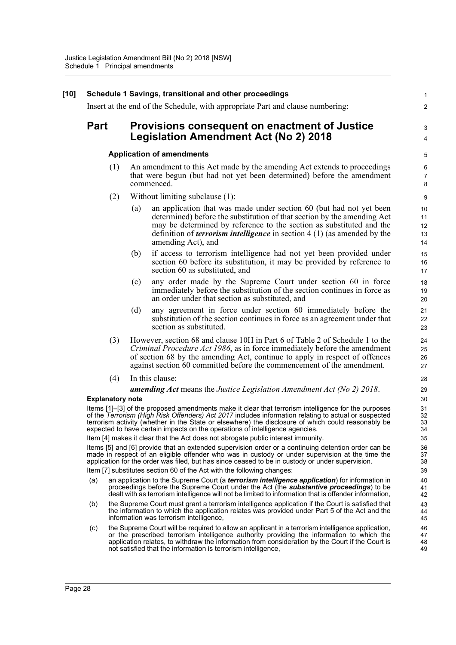|             |                         |     | Insert at the end of the Schedule, with appropriate Part and clause numbering:                                                                                                                                                                                                                                                                                                                    |
|-------------|-------------------------|-----|---------------------------------------------------------------------------------------------------------------------------------------------------------------------------------------------------------------------------------------------------------------------------------------------------------------------------------------------------------------------------------------------------|
| <b>Part</b> |                         |     | Provisions consequent on enactment of Justice                                                                                                                                                                                                                                                                                                                                                     |
|             |                         |     | <b>Legislation Amendment Act (No 2) 2018</b>                                                                                                                                                                                                                                                                                                                                                      |
|             |                         |     | <b>Application of amendments</b>                                                                                                                                                                                                                                                                                                                                                                  |
|             | (1)                     |     | An amendment to this Act made by the amending Act extends to proceedings<br>that were begun (but had not yet been determined) before the amendment<br>commenced.                                                                                                                                                                                                                                  |
|             | (2)                     |     | Without limiting subclause (1):                                                                                                                                                                                                                                                                                                                                                                   |
|             |                         | (a) | an application that was made under section 60 (but had not yet been<br>determined) before the substitution of that section by the amending Act<br>may be determined by reference to the section as substituted and the<br>definition of <i>terrorism intelligence</i> in section $4(1)$ (as amended by the<br>amending Act), and                                                                  |
|             |                         | (b) | if access to terrorism intelligence had not yet been provided under<br>section 60 before its substitution, it may be provided by reference to<br>section 60 as substituted, and                                                                                                                                                                                                                   |
|             |                         | (c) | any order made by the Supreme Court under section 60 in force<br>immediately before the substitution of the section continues in force as<br>an order under that section as substituted, and                                                                                                                                                                                                      |
|             |                         | (d) | any agreement in force under section 60 immediately before the<br>substitution of the section continues in force as an agreement under that<br>section as substituted.                                                                                                                                                                                                                            |
|             | (3)                     |     | However, section 68 and clause 10H in Part 6 of Table 2 of Schedule 1 to the<br>Criminal Procedure Act 1986, as in force immediately before the amendment<br>of section 68 by the amending Act, continue to apply in respect of offences<br>against section 60 committed before the commencement of the amendment.                                                                                |
|             | (4)                     |     | In this clause:                                                                                                                                                                                                                                                                                                                                                                                   |
|             |                         |     | <b>amending Act</b> means the Justice Legislation Amendment Act (No 2) 2018.                                                                                                                                                                                                                                                                                                                      |
|             | <b>Explanatory note</b> |     | Items [1]-[3] of the proposed amendments make it clear that terrorism intelligence for the purposes<br>of the Terrorism (High Risk Offenders) Act 2017 includes information relating to actual or suspected<br>terrorism activity (whether in the State or elsewhere) the disclosure of which could reasonably be<br>expected to have certain impacts on the operations of intelligence agencies. |
|             |                         |     | Item [4] makes it clear that the Act does not abrogate public interest immunity.                                                                                                                                                                                                                                                                                                                  |
|             |                         |     | Items [5] and [6] provide that an extended supervision order or a continuing detention order can be<br>made in respect of an eligible offender who was in custody or under supervision at the time the<br>application for the order was filed, but has since ceased to be in custody or under supervision.                                                                                        |
|             |                         |     | Item [7] substitutes section 60 of the Act with the following changes:                                                                                                                                                                                                                                                                                                                            |
| (a)         |                         |     | an application to the Supreme Court (a <i>terrorism intelligence application</i> ) for information in<br>proceedings before the Supreme Court under the Act (the <b>substantive proceedings</b> ) to be<br>dealt with as terrorism intelligence will not be limited to information that is offender information,                                                                                  |
| (b)         |                         |     | the Supreme Court must grant a terrorism intelligence application if the Court is satisfied that<br>the information to which the application relates was provided under Part 5 of the Act and the<br>information was terrorism intelligence,                                                                                                                                                      |
| (c)         |                         |     | the Supreme Court will be required to allow an applicant in a terrorism intelligence application,<br>or the prescribed terrorism intelligence authority providing the information to which the<br>application relates, to withdraw the information from consideration by the Court if the Court is<br>not satisfied that the information is terrorism intelligence,                               |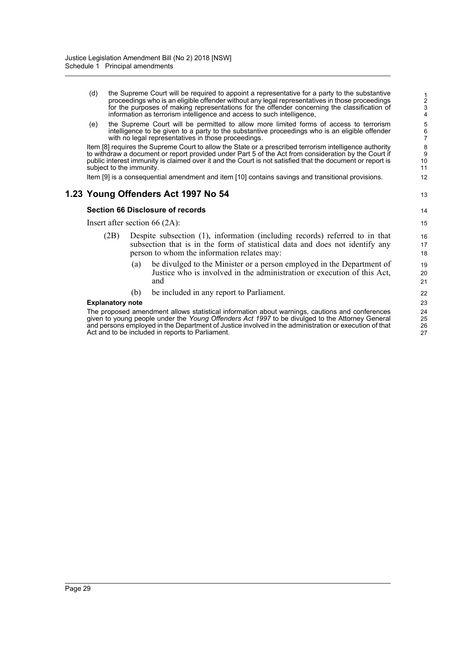- (d) the Supreme Court will be required to appoint a representative for a party to the substantive proceedings who is an eligible offender without any legal representatives in those proceedings for the purposes of making representations for the offender concerning the classification of information as terrorism intelligence and access to such intelligence,
- (e) the Supreme Court will be permitted to allow more limited forms of access to terrorism intelligence to be given to a party to the substantive proceedings who is an eligible offender with no legal representatives in those proceedings.

Item [8] requires the Supreme Court to allow the State or a prescribed terrorism intelligence authority to withdraw a document or report provided under Part 5 of the Act from consideration by the Court if public interest immunity is claimed over it and the Court is not satisfied that the document or report is subject to the immunity.

Item [9] is a consequential amendment and item [10] contains savings and transitional provisions.

# **1.23 Young Offenders Act 1997 No 54**

#### **Section 66 Disclosure of records**

Insert after section 66 (2A):

- (2B) Despite subsection (1), information (including records) referred to in that subsection that is in the form of statistical data and does not identify any person to whom the information relates may:
	- (a) be divulged to the Minister or a person employed in the Department of Justice who is involved in the administration or execution of this Act, and
	- (b) be included in any report to Parliament.

#### **Explanatory note**

The proposed amendment allows statistical information about warnings, cautions and conferences given to young people under the *Young Offenders Act 1997* to be divulged to the Attorney General and persons employed in the Department of Justice involved in the administration or execution of that Act and to be included in reports to Parliament.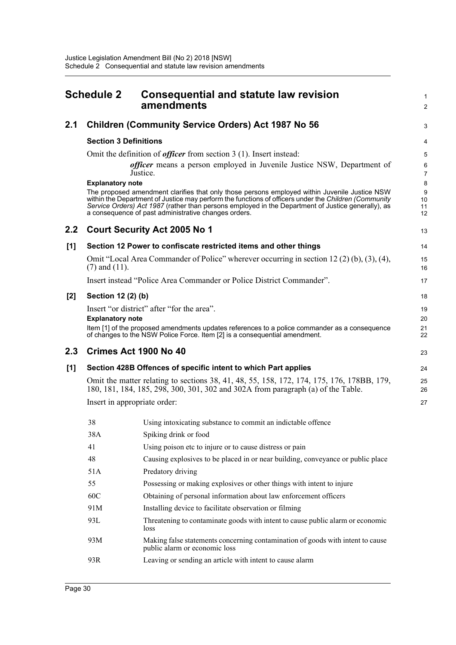<span id="page-35-0"></span>

| <b>Schedule 2</b> |                              | <b>Consequential and statute law revision</b><br>amendments                                                                                                                                                                                                                                                                                                         |                     |  |
|-------------------|------------------------------|---------------------------------------------------------------------------------------------------------------------------------------------------------------------------------------------------------------------------------------------------------------------------------------------------------------------------------------------------------------------|---------------------|--|
| 2.1               |                              | <b>Children (Community Service Orders) Act 1987 No 56</b>                                                                                                                                                                                                                                                                                                           | 3                   |  |
|                   | <b>Section 3 Definitions</b> |                                                                                                                                                                                                                                                                                                                                                                     | 4                   |  |
|                   |                              | Omit the definition of <i>officer</i> from section $3(1)$ . Insert instead:                                                                                                                                                                                                                                                                                         | 5                   |  |
|                   |                              | officer means a person employed in Juvenile Justice NSW, Department of<br>Justice.                                                                                                                                                                                                                                                                                  | 6<br>$\overline{7}$ |  |
|                   | <b>Explanatory note</b>      |                                                                                                                                                                                                                                                                                                                                                                     | 8                   |  |
|                   |                              | The proposed amendment clarifies that only those persons employed within Juvenile Justice NSW<br>within the Department of Justice may perform the functions of officers under the Children (Community<br>Service Orders) Act 1987 (rather than persons employed in the Department of Justice generally), as<br>a consequence of past administrative changes orders. | 9<br>10<br>11<br>12 |  |
| 2.2               |                              | <b>Court Security Act 2005 No 1</b>                                                                                                                                                                                                                                                                                                                                 | 13                  |  |
| [1]               |                              | Section 12 Power to confiscate restricted items and other things                                                                                                                                                                                                                                                                                                    | 14                  |  |
|                   |                              | Omit "Local Area Commander of Police" wherever occurring in section 12 (2) (b), (3), (4),                                                                                                                                                                                                                                                                           | 15                  |  |
|                   | $(7)$ and $(11)$ .           |                                                                                                                                                                                                                                                                                                                                                                     | 16                  |  |
|                   |                              | Insert instead "Police Area Commander or Police District Commander".                                                                                                                                                                                                                                                                                                | 17                  |  |
| [2]               | Section 12 (2) (b)           |                                                                                                                                                                                                                                                                                                                                                                     | 18                  |  |
|                   |                              | Insert "or district" after "for the area".                                                                                                                                                                                                                                                                                                                          | 19                  |  |
|                   | <b>Explanatory note</b>      | Item [1] of the proposed amendments updates references to a police commander as a consequence<br>of changes to the NSW Police Force. Item [2] is a consequential amendment.                                                                                                                                                                                         | 20<br>21<br>22      |  |
| 2.3               |                              | Crimes Act 1900 No 40                                                                                                                                                                                                                                                                                                                                               | 23                  |  |
| [1]               |                              | Section 428B Offences of specific intent to which Part applies                                                                                                                                                                                                                                                                                                      | 24                  |  |
|                   |                              | Omit the matter relating to sections 38, 41, 48, 55, 158, 172, 174, 175, 176, 178BB, 179,<br>180, 181, 184, 185, 298, 300, 301, 302 and 302A from paragraph (a) of the Table.                                                                                                                                                                                       | 25<br>26            |  |
|                   |                              | Insert in appropriate order:                                                                                                                                                                                                                                                                                                                                        | 27                  |  |
|                   | 38                           | Using intoxicating substance to commit an indictable offence                                                                                                                                                                                                                                                                                                        |                     |  |
|                   | 38A                          | Spiking drink or food                                                                                                                                                                                                                                                                                                                                               |                     |  |
|                   | 41                           | Using poison etc to injure or to cause distress or pain                                                                                                                                                                                                                                                                                                             |                     |  |
|                   | 48                           | Causing explosives to be placed in or near building, conveyance or public place                                                                                                                                                                                                                                                                                     |                     |  |
|                   | 51A                          | Predatory driving                                                                                                                                                                                                                                                                                                                                                   |                     |  |
|                   | 55                           | Possessing or making explosives or other things with intent to injure                                                                                                                                                                                                                                                                                               |                     |  |
|                   | 60C                          | Obtaining of personal information about law enforcement officers                                                                                                                                                                                                                                                                                                    |                     |  |

- 91M Installing device to facilitate observation or filming
- 93L Threatening to contaminate goods with intent to cause public alarm or economic loss
- 93M Making false statements concerning contamination of goods with intent to cause public alarm or economic loss
- 93R Leaving or sending an article with intent to cause alarm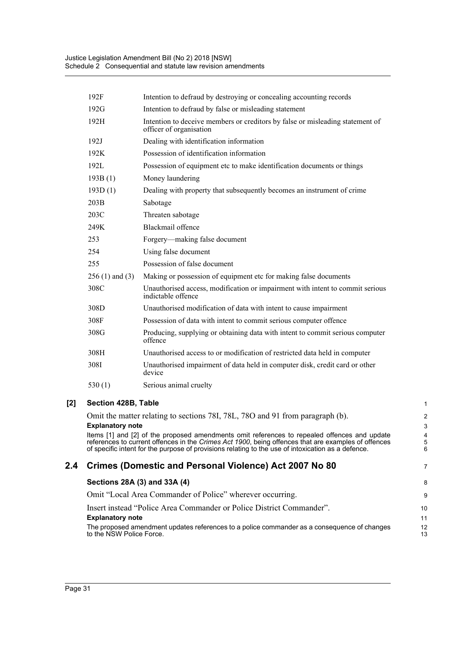| 192F                | Intention to defraud by destroying or concealing accounting records                                      |
|---------------------|----------------------------------------------------------------------------------------------------------|
| 192G                | Intention to defraud by false or misleading statement                                                    |
| 192H                | Intention to deceive members or creditors by false or misleading statement of<br>officer of organisation |
| 192J                | Dealing with identification information                                                                  |
| 192K                | Possession of identification information                                                                 |
| 192L                | Possession of equipment etc to make identification documents or things                                   |
| 193B(1)             | Money laundering                                                                                         |
| 193D(1)             | Dealing with property that subsequently becomes an instrument of crime                                   |
| 203B                | Sabotage                                                                                                 |
| 203C                | Threaten sabotage                                                                                        |
| 249K                | Blackmail offence                                                                                        |
| 253                 | Forgery-making false document                                                                            |
| 254                 | Using false document                                                                                     |
| 255                 | Possession of false document                                                                             |
| $256(1)$ and $(3)$  | Making or possession of equipment etc for making false documents                                         |
| 308C                | Unauthorised access, modification or impairment with intent to commit serious<br>indictable offence      |
| 308D                | Unauthorised modification of data with intent to cause impairment                                        |
| 308F                | Possession of data with intent to commit serious computer offence                                        |
| 308G                | Producing, supplying or obtaining data with intent to commit serious computer<br>offence                 |
| 308H                | Unauthorised access to or modification of restricted data held in computer                               |
| 308I                | Unauthorised impairment of data held in computer disk, credit card or other<br>device                    |
| 530 $(1)$           | Serious animal cruelty                                                                                   |
| Section 428B, Table |                                                                                                          |
|                     | Omit the matter relating to sections 78I, 78L, 78O and 91 from paragraph (b).                            |
|                     |                                                                                                          |

#### **Explanatory note**

Items [1] and [2] of the proposed amendments omit references to repealed offences and update references to current offences in the *Crimes Act 1900*, being offences that are examples of offences of specific intent for the purpose of provisions relating to the use of intoxication as a defence.

7

# **2.4 Crimes (Domestic and Personal Violence) Act 2007 No 80**

# **Sections 28A (3) and 33A (4)**

Omit "Local Area Commander of Police" wherever occurring.

### Insert instead "Police Area Commander or Police District Commander".

#### **Explanatory note**

The proposed amendment updates references to a police commander as a consequence of changes to the NSW Police Force.

[2]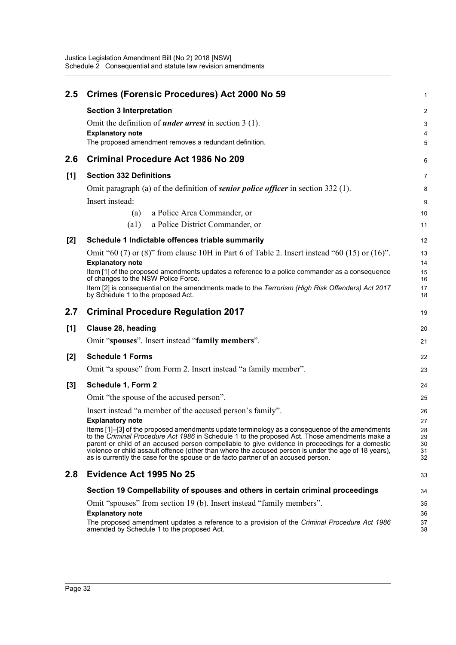| 2.5   | Crimes (Forensic Procedures) Act 2000 No 59                                                                                                                                                     | 1        |
|-------|-------------------------------------------------------------------------------------------------------------------------------------------------------------------------------------------------|----------|
|       | <b>Section 3 Interpretation</b>                                                                                                                                                                 | 2        |
|       | Omit the definition of <i>under arrest</i> in section $3(1)$ .                                                                                                                                  | 3        |
|       | <b>Explanatory note</b>                                                                                                                                                                         | 4        |
|       | The proposed amendment removes a redundant definition.                                                                                                                                          | 5        |
| 2.6   | <b>Criminal Procedure Act 1986 No 209</b>                                                                                                                                                       | 6        |
| [1]   | <b>Section 332 Definitions</b>                                                                                                                                                                  | 7        |
|       | Omit paragraph (a) of the definition of <i>senior police officer</i> in section 332 (1).                                                                                                        | 8        |
|       | Insert instead:                                                                                                                                                                                 | 9        |
|       | a Police Area Commander, or<br>(a)                                                                                                                                                              | 10       |
|       | a Police District Commander, or<br>(a1)                                                                                                                                                         | 11       |
| $[2]$ | Schedule 1 Indictable offences triable summarily                                                                                                                                                | 12       |
|       | Omit "60 (7) or (8)" from clause 10H in Part 6 of Table 2. Insert instead "60 (15) or (16)".                                                                                                    | 13       |
|       | <b>Explanatory note</b>                                                                                                                                                                         | 14       |
|       | Item [1] of the proposed amendments updates a reference to a police commander as a consequence<br>of changes to the NSW Police Force.                                                           | 15<br>16 |
|       | Item [2] is consequential on the amendments made to the Terrorism (High Risk Offenders) Act 2017<br>by Schedule 1 to the proposed Act.                                                          | 17<br>18 |
|       |                                                                                                                                                                                                 |          |
| 2.7   | <b>Criminal Procedure Regulation 2017</b>                                                                                                                                                       | 19       |
| [1]   | Clause 28, heading                                                                                                                                                                              | 20       |
|       | Omit "spouses". Insert instead "family members".                                                                                                                                                | 21       |
| $[2]$ | <b>Schedule 1 Forms</b>                                                                                                                                                                         | 22       |
|       | Omit "a spouse" from Form 2. Insert instead "a family member".                                                                                                                                  | 23       |
| $[3]$ | Schedule 1, Form 2                                                                                                                                                                              | 24       |
|       | Omit "the spouse of the accused person".                                                                                                                                                        | 25       |
|       | Insert instead "a member of the accused person's family".                                                                                                                                       | 26       |
|       | <b>Explanatory note</b>                                                                                                                                                                         | 27       |
|       | Items [1]-[3] of the proposed amendments update terminology as a consequence of the amendments<br>to the Criminal Procedure Act 1986 in Schedule 1 to the proposed Act. Those amendments make a | 28<br>29 |
|       | parent or child of an accused person compellable to give evidence in proceedings for a domestic                                                                                                 | 30       |
|       | violence or child assault offence (other than where the accused person is under the age of 18 years),<br>as is currently the case for the spouse or de facto partner of an accused person.      | 31<br>32 |
| 2.8   | Evidence Act 1995 No 25                                                                                                                                                                         | 33       |
|       | Section 19 Compellability of spouses and others in certain criminal proceedings                                                                                                                 | 34       |
|       | Omit "spouses" from section 19 (b). Insert instead "family members".                                                                                                                            | 35       |
|       | <b>Explanatory note</b>                                                                                                                                                                         | 36       |
|       | The proposed amendment updates a reference to a provision of the Criminal Procedure Act 1986<br>amended by Schedule 1 to the proposed Act.                                                      | 37<br>38 |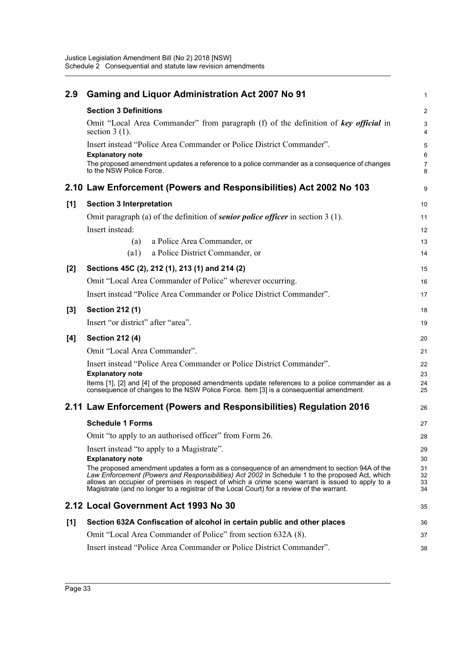| 2.9   | <b>Gaming and Liquor Administration Act 2007 No 91</b>                                                                                                                                                                                                                                                                                                                                           | 1                    |
|-------|--------------------------------------------------------------------------------------------------------------------------------------------------------------------------------------------------------------------------------------------------------------------------------------------------------------------------------------------------------------------------------------------------|----------------------|
|       | <b>Section 3 Definitions</b>                                                                                                                                                                                                                                                                                                                                                                     | $\overline{c}$       |
|       | Omit "Local Area Commander" from paragraph (f) of the definition of key official in<br>section $3(1)$ .                                                                                                                                                                                                                                                                                          | 3<br>4               |
|       | Insert instead "Police Area Commander or Police District Commander".<br><b>Explanatory note</b>                                                                                                                                                                                                                                                                                                  | 5<br>6               |
|       | The proposed amendment updates a reference to a police commander as a consequence of changes<br>to the NSW Police Force.                                                                                                                                                                                                                                                                         | 7<br>8               |
|       | 2.10 Law Enforcement (Powers and Responsibilities) Act 2002 No 103                                                                                                                                                                                                                                                                                                                               | 9                    |
| [1]   | <b>Section 3 Interpretation</b>                                                                                                                                                                                                                                                                                                                                                                  | 10                   |
|       | Omit paragraph (a) of the definition of <b>senior police officer</b> in section 3 (1).                                                                                                                                                                                                                                                                                                           | 11                   |
|       | Insert instead:                                                                                                                                                                                                                                                                                                                                                                                  | 12                   |
|       | a Police Area Commander, or<br>(a)                                                                                                                                                                                                                                                                                                                                                               | 13                   |
|       | a Police District Commander, or<br>$\left( a1\right)$                                                                                                                                                                                                                                                                                                                                            | 14                   |
| $[2]$ | Sections 45C (2), 212 (1), 213 (1) and 214 (2)                                                                                                                                                                                                                                                                                                                                                   | 15                   |
|       | Omit "Local Area Commander of Police" wherever occurring.                                                                                                                                                                                                                                                                                                                                        | 16                   |
|       | Insert instead "Police Area Commander or Police District Commander".                                                                                                                                                                                                                                                                                                                             | 17                   |
| $[3]$ | <b>Section 212 (1)</b>                                                                                                                                                                                                                                                                                                                                                                           | 18                   |
|       | Insert "or district" after "area".                                                                                                                                                                                                                                                                                                                                                               | 19                   |
| [4]   | <b>Section 212 (4)</b>                                                                                                                                                                                                                                                                                                                                                                           | 20                   |
|       | Omit "Local Area Commander".                                                                                                                                                                                                                                                                                                                                                                     | 21                   |
|       | Insert instead "Police Area Commander or Police District Commander".                                                                                                                                                                                                                                                                                                                             | 22                   |
|       | <b>Explanatory note</b>                                                                                                                                                                                                                                                                                                                                                                          | 23                   |
|       | Items [1], [2] and [4] of the proposed amendments update references to a police commander as a<br>consequence of changes to the NSW Police Force. Item [3] is a consequential amendment.                                                                                                                                                                                                         | 24<br>25             |
|       | 2.11 Law Enforcement (Powers and Responsibilities) Regulation 2016                                                                                                                                                                                                                                                                                                                               | 26                   |
|       | <b>Schedule 1 Forms</b>                                                                                                                                                                                                                                                                                                                                                                          | 27                   |
|       | Omit "to apply to an authorised officer" from Form 26.                                                                                                                                                                                                                                                                                                                                           | 28                   |
|       | Insert instead "to apply to a Magistrate".                                                                                                                                                                                                                                                                                                                                                       | 29                   |
|       | <b>Explanatory note</b>                                                                                                                                                                                                                                                                                                                                                                          | 30                   |
|       | The proposed amendment updates a form as a consequence of an amendment to section 94A of the<br>Law Enforcement (Powers and Responsibilities) Act 2002 in Schedule 1 to the proposed Act, which<br>allows an occupier of premises in respect of which a crime scene warrant is issued to apply to a<br>Magistrate (and no longer to a registrar of the Local Court) for a review of the warrant. | 31<br>32<br>33<br>34 |
|       | 2.12 Local Government Act 1993 No 30                                                                                                                                                                                                                                                                                                                                                             | 35                   |
| [1]   | Section 632A Confiscation of alcohol in certain public and other places                                                                                                                                                                                                                                                                                                                          | 36                   |
|       | Omit "Local Area Commander of Police" from section 632A (8).                                                                                                                                                                                                                                                                                                                                     | 37                   |
|       | Insert instead "Police Area Commander or Police District Commander".                                                                                                                                                                                                                                                                                                                             | 38                   |